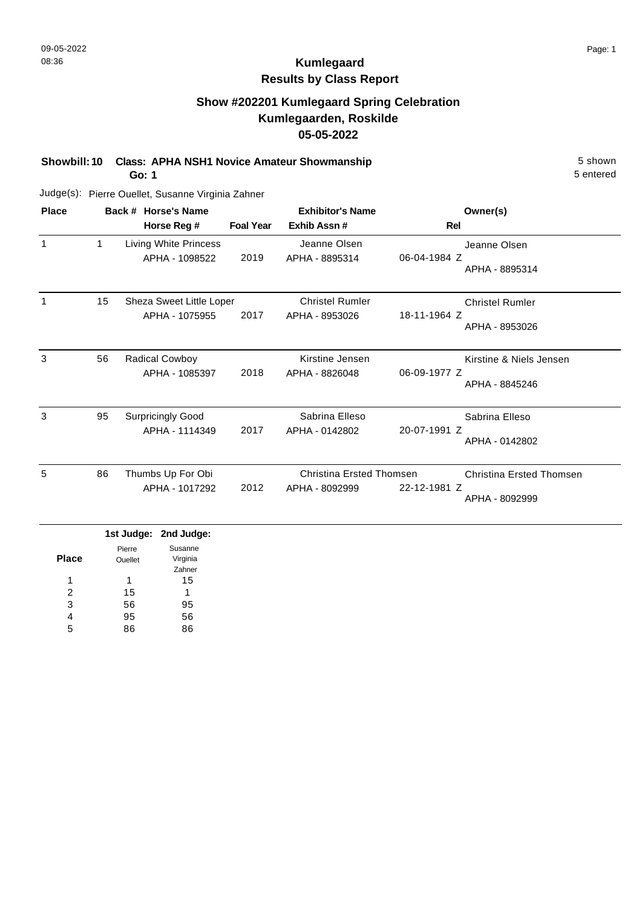## **Show #202201 Kumlegaard Spring Celebration Kumlegaarden, Roskilde 05-05-2022**

**Showbill: 10 Class: APHA NSH1 Novice Amateur Showmanship** 5 shown

**Go: 1**

Judge(s): Pierre Ouellet, Susanne Virginia Zahner

| <b>Place</b> |    | Back # Horse's Name                        |                  | <b>Exhibitor's Name</b>                    | Owner(s)                                                          |
|--------------|----|--------------------------------------------|------------------|--------------------------------------------|-------------------------------------------------------------------|
|              |    | Horse Reg #                                | <b>Foal Year</b> | Exhib Assn#                                | Rel                                                               |
|              | 1  | Living White Princess<br>APHA - 1098522    | 2019             | Jeanne Olsen<br>APHA - 8895314             | Jeanne Olsen<br>06-04-1984 Z<br>APHA - 8895314                    |
|              | 15 | Sheza Sweet Little Loper<br>APHA - 1075955 | 2017             | <b>Christel Rumler</b><br>APHA - 8953026   | <b>Christel Rumler</b><br>18-11-1964 Z<br>APHA - 8953026          |
| 3            | 56 | <b>Radical Cowboy</b><br>APHA - 1085397    | 2018             | Kirstine Jensen<br>APHA - 8826048          | Kirstine & Niels Jensen<br>06-09-1977 Z<br>APHA - 8845246         |
| 3            | 95 | <b>Surpricingly Good</b><br>APHA - 1114349 | 2017             | Sabrina Elleso<br>APHA - 0142802           | Sabrina Elleso<br>20-07-1991 Z<br>APHA - 0142802                  |
| 5            | 86 | Thumbs Up For Obi<br>APHA - 1017292        | 2012             | Christina Ersted Thomsen<br>APHA - 8092999 | <b>Christina Ersted Thomsen</b><br>22-12-1981 Z<br>APHA - 8092999 |

|              |                | 1st Judge: 2nd Judge: |
|--------------|----------------|-----------------------|
|              | Pierre         | Susanne               |
| <b>Place</b> | <b>Ouellet</b> | Virginia              |
|              |                | Zahner                |
| 1            | 1              | 15                    |
| 2            | 15             | 1                     |
| 3            | 56             | 95                    |
| 4            | 95             | 56                    |
| 5            |                | 86                    |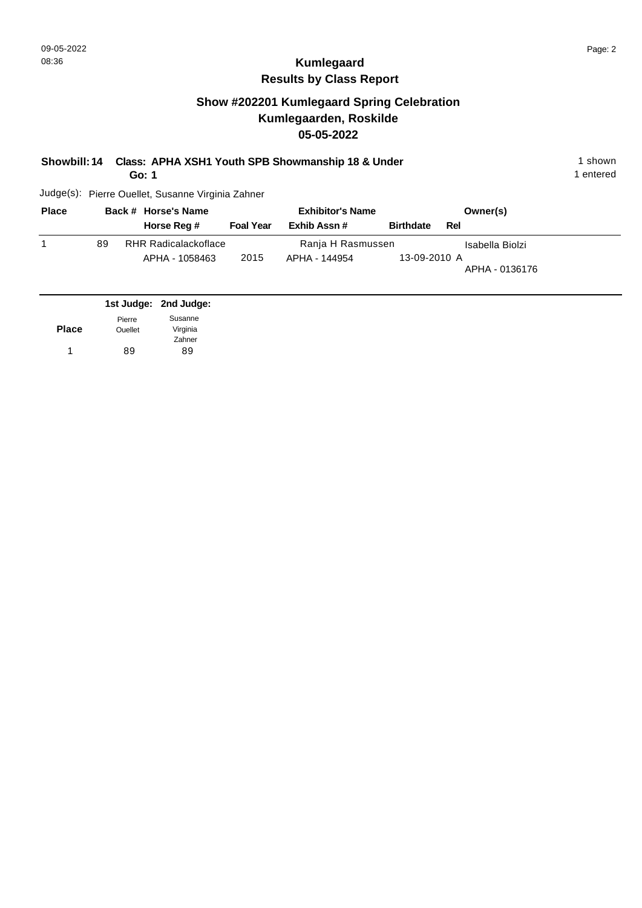## **Show #202201 Kumlegaard Spring Celebration Kumlegaarden, Roskilde 05-05-2022**

| Showbill: 14 Class: APHA XSH1 Youth SPB Showmanship 18 & Under | 1 shown |
|----------------------------------------------------------------|---------|
|                                                                |         |

**Go: 1**

Judge(s): Pierre Ouellet, Susanne Virginia Zahner

| <b>Place</b> |    | Back # Horse's Name         |                  | <b>Exhibitor's Name</b> |                  |     | Owner(s)        |
|--------------|----|-----------------------------|------------------|-------------------------|------------------|-----|-----------------|
|              |    | Horse Reg #                 | <b>Foal Year</b> | Exhib Assn#             | <b>Birthdate</b> | Rel |                 |
|              | 89 | <b>RHR Radicalackoflace</b> |                  | Ranja H Rasmussen       |                  |     | Isabella Biolzi |
|              |    | APHA - 1058463              | 2015             | APHA - 144954           | 13-09-2010 A     |     | APHA - 0136176  |

|              |                | 1st Judge: 2nd Judge: |
|--------------|----------------|-----------------------|
|              | Pierre         | Susanne               |
| <b>Place</b> | <b>Ouellet</b> | Virginia              |
|              |                | Zahner                |
| 1            | 89             | 89                    |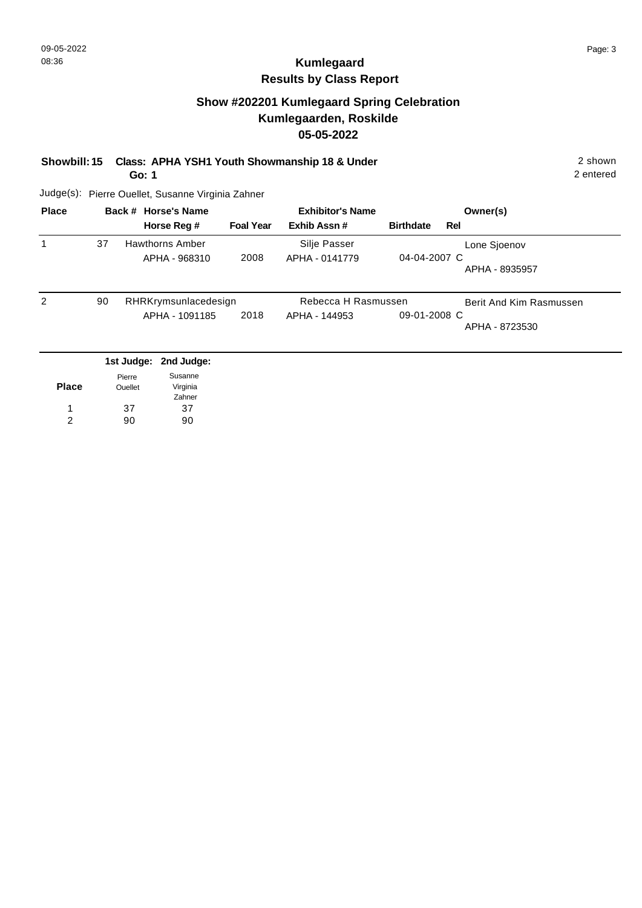#### **Show #202201 Kumlegaard Spring Celebration Kumlegaarden, Roskilde 05-05-2022**

#### **Showbill: 15 Class: APHA YSH1 Youth Showmanship 18 & Under** 2 shown

**Go: 1**

2 entered

| <b>Place</b> |    | Back # Horse's Name   |                  | <b>Exhibitor's Name</b> |                  | Owner(s)                |
|--------------|----|-----------------------|------------------|-------------------------|------------------|-------------------------|
|              |    | Horse Reg #           | <b>Foal Year</b> | Exhib Assn#             | <b>Birthdate</b> | Rel                     |
| 1            | 37 | Hawthorns Amber       |                  | Silje Passer            |                  | Lone Sjoenov            |
|              |    | APHA - 968310         | 2008             | APHA - 0141779          | 04-04-2007 C     |                         |
|              |    |                       |                  |                         |                  | APHA - 8935957          |
| 2            | 90 | RHRKrymsunlacedesign  |                  | Rebecca H Rasmussen     |                  | Berit And Kim Rasmussen |
|              |    | APHA - 1091185        | 2018             | APHA - 144953           | 09-01-2008 C     |                         |
|              |    |                       |                  |                         |                  | APHA - 8723530          |
|              |    |                       |                  |                         |                  |                         |
|              |    | 1st Judge: 2nd Judge: |                  |                         |                  |                         |

| <b>Place</b> | Pierre<br>Ouellet | Susanne<br>Virginia<br>Zahner |
|--------------|-------------------|-------------------------------|
|              | 37                | 37                            |
| 2            | 90                | an                            |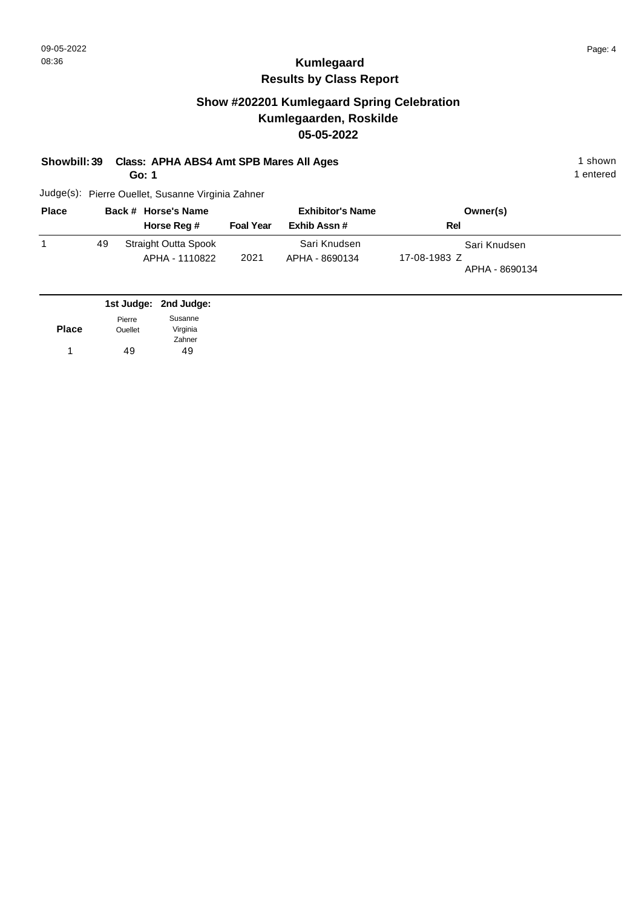## **Show #202201 Kumlegaard Spring Celebration Kumlegaarden, Roskilde 05-05-2022**

**Showbill: 39 Class: APHA ABS4 Amt SPB Mares All Ages** 1 shown 1 shown

**Go: 1**

Judge(s): Pierre Ouellet, Susanne Virginia Zahner

| <b>Place</b> |    | Back # Horse's Name                    |                  | <b>Exhibitor's Name</b>        | Owner(s)                                       |  |
|--------------|----|----------------------------------------|------------------|--------------------------------|------------------------------------------------|--|
|              |    | Horse Reg #                            | <b>Foal Year</b> | Exhib Assn#                    | Rel                                            |  |
|              | 49 | Straight Outta Spook<br>APHA - 1110822 | 2021             | Sari Knudsen<br>APHA - 8690134 | Sari Knudsen<br>17-08-1983 Z<br>APHA - 8690134 |  |

|                | 1st Judge: 2nd Judge: |
|----------------|-----------------------|
| Pierre         | Susanne               |
| <b>Ouellet</b> | Virginia              |
|                | Zahner                |
| 49             | 49                    |
|                |                       |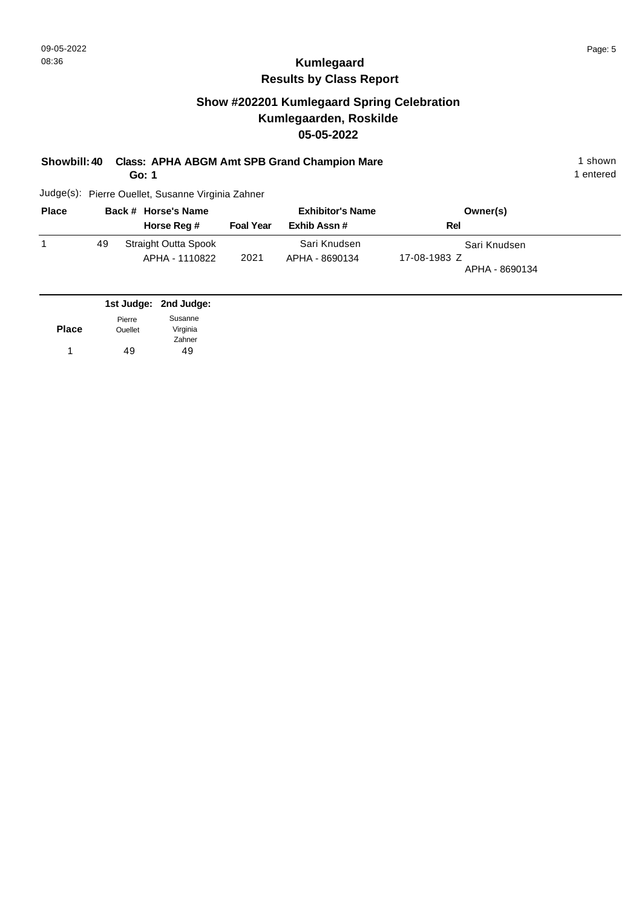### **Show #202201 Kumlegaard Spring Celebration Kumlegaarden, Roskilde 05-05-2022**

#### **Showbill: 40 Class: APHA ABGM Amt SPB Grand Champion Mare** 1 shown 1 shown

**Go: 1**

Judge(s): Pierre Ouellet, Susanne Virginia Zahner

| <b>Place</b> |    | Back # Horse's Name                           |                  | <b>Exhibitor's Name</b>        | Owner(s)                                       |
|--------------|----|-----------------------------------------------|------------------|--------------------------------|------------------------------------------------|
|              |    | Horse Reg #                                   | <b>Foal Year</b> | Exhib Assn#                    | Rel                                            |
|              | 49 | <b>Straight Outta Spook</b><br>APHA - 1110822 | 2021             | Sari Knudsen<br>APHA - 8690134 | Sari Knudsen<br>17-08-1983 Z<br>APHA - 8690134 |

|              |                | 1st Judge: 2nd Judge: |
|--------------|----------------|-----------------------|
|              | Pierre         | Susanne               |
| <b>Place</b> | <b>Ouellet</b> | Virginia              |
|              |                | Zahner                |
| 1            | 49             | 49                    |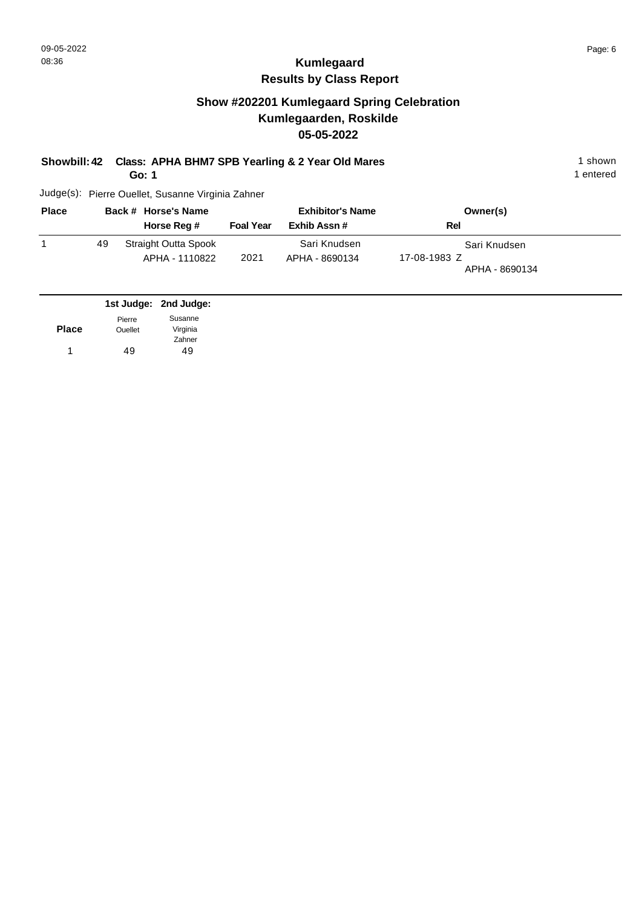### **Show #202201 Kumlegaard Spring Celebration Kumlegaarden, Roskilde 05-05-2022**

**Showbill: 42 Class: APHA BHM7 SPB Yearling & 2 Year Old Mares** 1 Shown 1 shown

**Go: 1**

Judge(s): Pierre Ouellet, Susanne Virginia Zahner

| <b>Place</b> |    | Back # Horse's Name                           |                  | <b>Exhibitor's Name</b>        | Owner(s)                                       |
|--------------|----|-----------------------------------------------|------------------|--------------------------------|------------------------------------------------|
|              |    | Horse Reg #                                   | <b>Foal Year</b> | Exhib Assn#                    | Rel                                            |
|              | 49 | <b>Straight Outta Spook</b><br>APHA - 1110822 | 2021             | Sari Knudsen<br>APHA - 8690134 | Sari Knudsen<br>17-08-1983 Z<br>APHA - 8690134 |

|              |                | 1st Judge: 2nd Judge: |
|--------------|----------------|-----------------------|
|              | Pierre         | Susanne               |
| <b>Place</b> | <b>Ouellet</b> | Virginia              |
|              |                | Zahner                |
|              | 49             | 49                    |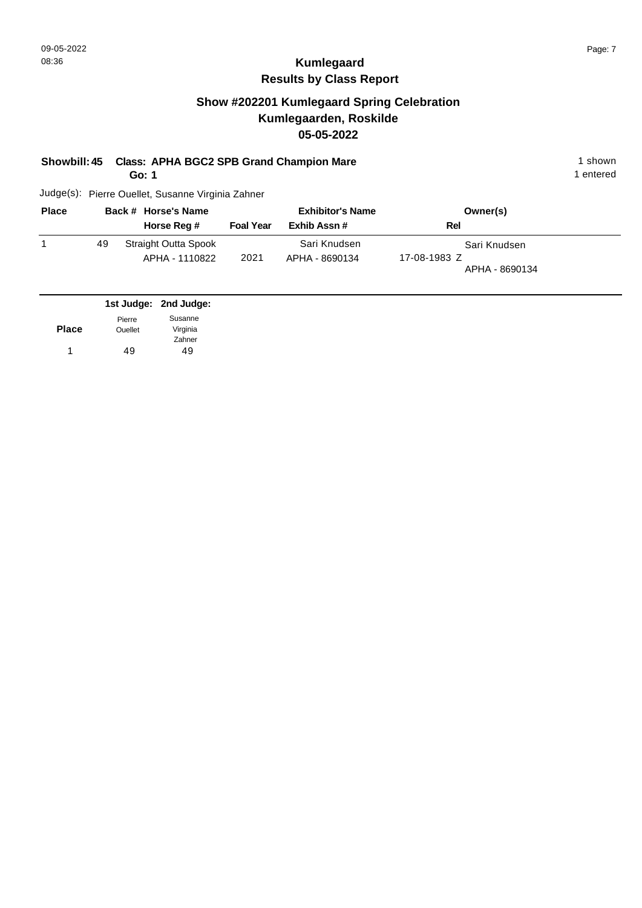#### **Show #202201 Kumlegaard Spring Celebration Kumlegaarden, Roskilde 05-05-2022**

#### **Showbill: 45 Class: APHA BGC2 SPB Grand Champion Mare** 1 shown 1 shown

**Go: 1**

Judge(s): Pierre Ouellet, Susanne Virginia Zahner

| <b>Place</b> |    | Back # Horse's Name                    |                  | <b>Exhibitor's Name</b>        | Owner(s)                                       |
|--------------|----|----------------------------------------|------------------|--------------------------------|------------------------------------------------|
|              |    | Horse Reg #                            | <b>Foal Year</b> | Exhib Assn#                    | Rel                                            |
|              | 49 | Straight Outta Spook<br>APHA - 1110822 | 2021             | Sari Knudsen<br>APHA - 8690134 | Sari Knudsen<br>17-08-1983 Z<br>APHA - 8690134 |

|              |                | 1st Judge: 2nd Judge: |
|--------------|----------------|-----------------------|
|              | Pierre         | Susanne               |
| <b>Place</b> | <b>Ouellet</b> | Virginia              |
|              |                | Zahner                |
| 1            | 49             | 49                    |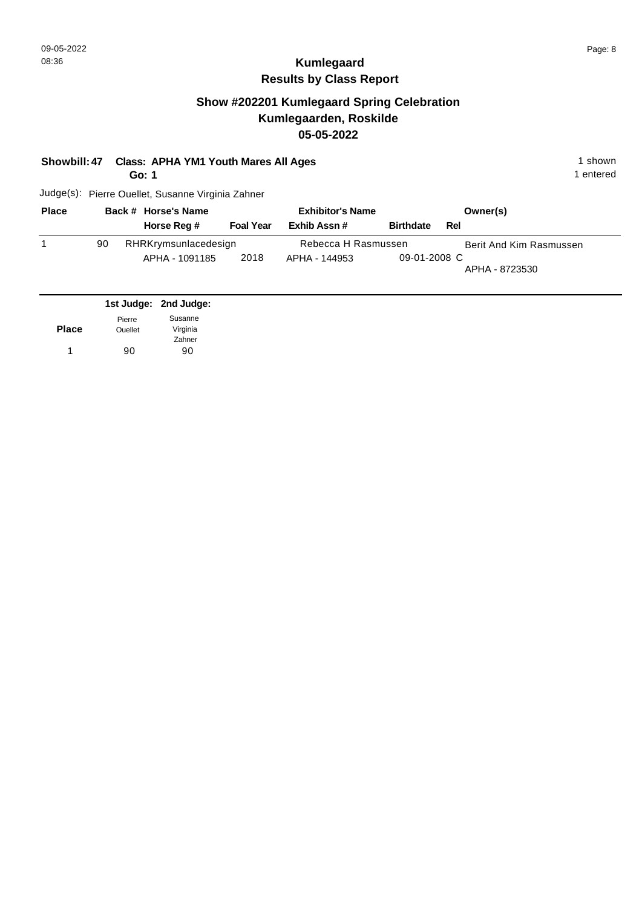## **Show #202201 Kumlegaard Spring Celebration Kumlegaarden, Roskilde 05-05-2022**

**Showbill: 47 Class: APHA YM1 Youth Mares All Ages** 1 shown

**Go: 1**

1 entered

| <b>Place</b> |    | Back # Horse's Name  |                  | <b>Exhibitor's Name</b> |                  |     | Owner(s)                |
|--------------|----|----------------------|------------------|-------------------------|------------------|-----|-------------------------|
|              |    | Horse Reg #          | <b>Foal Year</b> | Exhib Assn #            | <b>Birthdate</b> | Rel |                         |
|              | 90 | RHRKrymsunlacedesign |                  | Rebecca H Rasmussen     |                  |     | Berit And Kim Rasmussen |
|              |    | APHA - 1091185       | 2018             | APHA - 144953           | 09-01-2008 C     |     | APHA - 8723530          |

|              |                | 1st Judge: 2nd Judge: |
|--------------|----------------|-----------------------|
|              | Pierre         | Susanne               |
| <b>Place</b> | <b>Ouellet</b> | Virginia              |
|              |                | Zahner                |
| 1            | 90             | 90                    |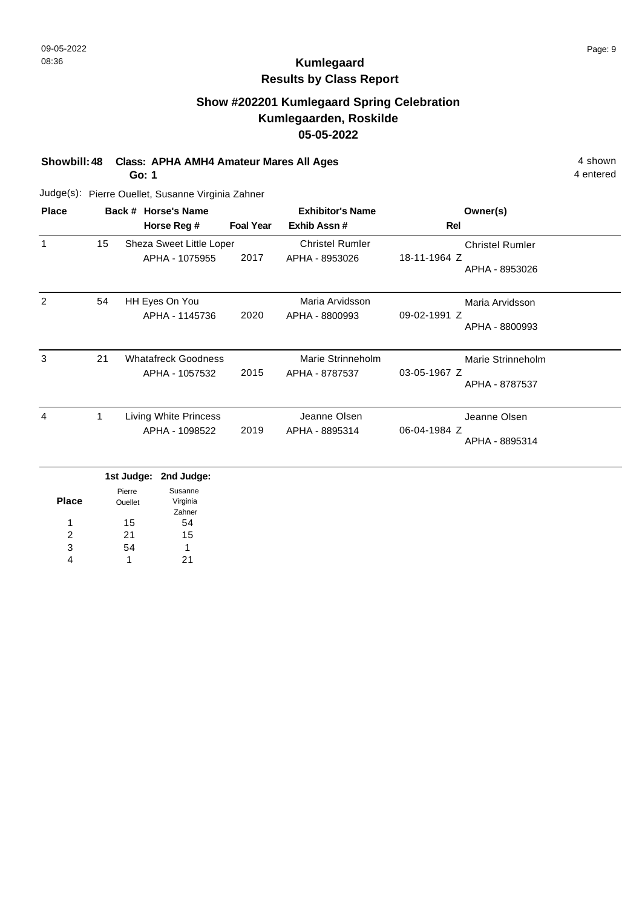### **Show #202201 Kumlegaard Spring Celebration Kumlegaarden, Roskilde 05-05-2022**

**Showbill: 48 Class: APHA AMH4 Amateur Mares All Ages** 4 shown

**Go: 1**

Judge(s): Pierre Ouellet, Susanne Virginia Zahner

| <b>Place</b> |    | Back # Horse's Name                          |                  | <b>Exhibitor's Name</b>                  | Owner(s)                                                 |
|--------------|----|----------------------------------------------|------------------|------------------------------------------|----------------------------------------------------------|
|              |    | Horse Reg #                                  | <b>Foal Year</b> | Exhib Assn#                              | Rel                                                      |
| $\mathbf 1$  | 15 | Sheza Sweet Little Loper<br>APHA - 1075955   | 2017             | <b>Christel Rumler</b><br>APHA - 8953026 | <b>Christel Rumler</b><br>18-11-1964 Z<br>APHA - 8953026 |
| 2            | 54 | HH Eyes On You<br>APHA - 1145736             | 2020             | Maria Arvidsson<br>APHA - 8800993        | Maria Arvidsson<br>09-02-1991 Z<br>APHA - 8800993        |
| 3            | 21 | <b>Whatafreck Goodness</b><br>APHA - 1057532 | 2015             | Marie Strinneholm<br>APHA - 8787537      | Marie Strinneholm<br>03-05-1967 Z<br>APHA - 8787537      |
| 4            | 1. | Living White Princess<br>APHA - 1098522      | 2019             | Jeanne Olsen<br>APHA - 8895314           | Jeanne Olsen<br>06-04-1984 Z<br>APHA - 8895314           |

|              |                | 1st Judge: 2nd Judge: |
|--------------|----------------|-----------------------|
|              | Pierre         | Susanne               |
| <b>Place</b> | <b>Ouellet</b> | Virginia              |
|              |                | Zahner                |
| 1            | 15             | 54                    |
| 2            | 21             | 15                    |
| 3            | 54             | 1                     |
|              | 1              | 21                    |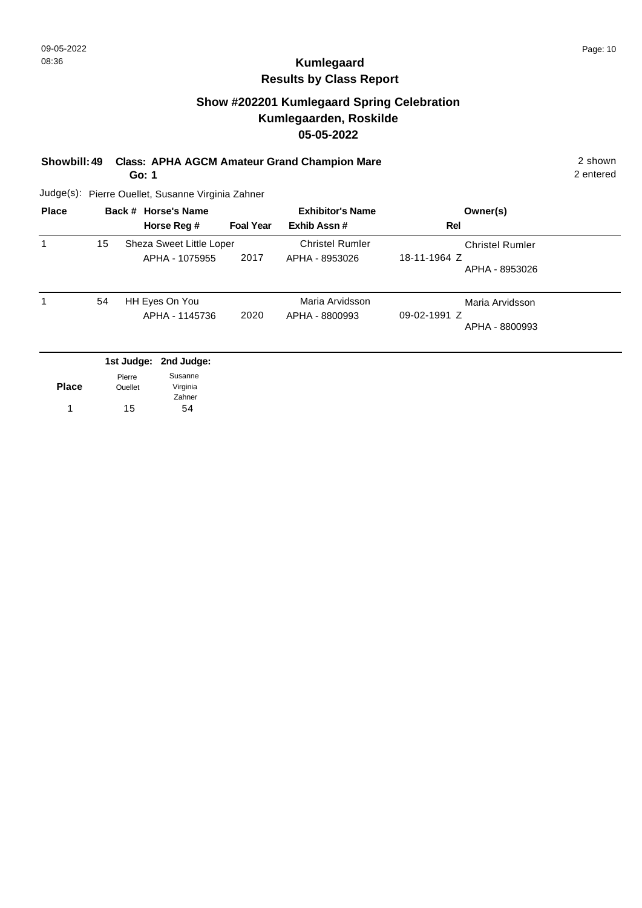## **Show #202201 Kumlegaard Spring Celebration Kumlegaarden, Roskilde 05-05-2022**

#### **Showbill: 49 Class: APHA AGCM Amateur Grand Champion Mare** 2 shown

**Go: 1**

2 entered

| <b>Place</b> |    | Back # Horse's Name                        | <b>Exhibitor's Name</b> |                                          | Owner(s)                                                 |
|--------------|----|--------------------------------------------|-------------------------|------------------------------------------|----------------------------------------------------------|
|              |    | Horse Reg #                                | <b>Foal Year</b>        | Exhib Assn#                              | Rel                                                      |
|              | 15 | Sheza Sweet Little Loper<br>APHA - 1075955 | 2017                    | <b>Christel Rumler</b><br>APHA - 8953026 | <b>Christel Rumler</b><br>18-11-1964 Z<br>APHA - 8953026 |
|              | 54 | HH Eyes On You<br>APHA - 1145736           | 2020                    | Maria Arvidsson<br>APHA - 8800993        | Maria Arvidsson<br>$09-02-1991$ Z<br>APHA - 8800993      |

|              |                | 1st Judge: 2nd Judge: |
|--------------|----------------|-----------------------|
|              | Pierre         | Susanne               |
| <b>Place</b> | <b>Ouellet</b> | Virginia              |
|              |                | Zahner                |
|              | 15             | 54                    |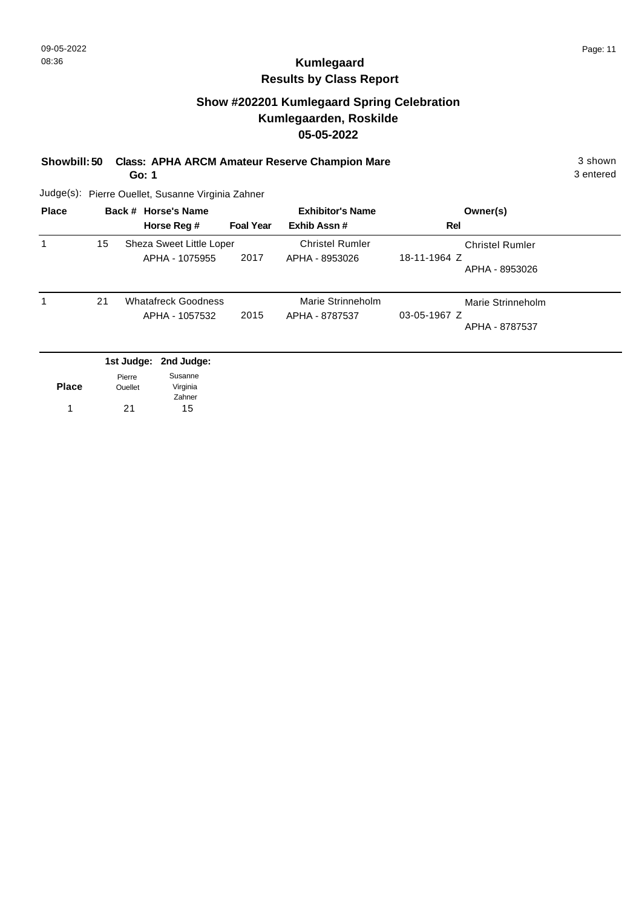### **Show #202201 Kumlegaard Spring Celebration Kumlegaarden, Roskilde 05-05-2022**

#### **Showbill: 50 Class: APHA ARCM Amateur Reserve Champion Mare** 3 shown

**Go: 1**

3 entered

| <b>Place</b> |    | Back # Horse's Name        |                  | <b>Exhibitor's Name</b> | Owner(s)               |
|--------------|----|----------------------------|------------------|-------------------------|------------------------|
|              |    | Horse Reg #                | <b>Foal Year</b> | Exhib Assn#             | Rel                    |
|              | 15 | Sheza Sweet Little Loper   |                  | <b>Christel Rumler</b>  | <b>Christel Rumler</b> |
|              |    | APHA - 1075955             | 2017             | APHA - 8953026          | 18-11-1964 Z           |
|              |    |                            |                  |                         | APHA - 8953026         |
|              | 21 | <b>Whatafreck Goodness</b> |                  | Marie Strinneholm       | Marie Strinneholm      |
|              |    | APHA - 1057532             | 2015             | APHA - 8787537          | 03-05-1967 Z           |
|              |    |                            |                  |                         | APHA - 8787537         |
|              |    | 1st Judge: 2nd Judge:      |                  |                         |                        |

| <b>Place</b> | Pierre<br><b>Ouellet</b> | Susanne<br>Virginia |
|--------------|--------------------------|---------------------|
|              |                          | Zahner              |
| 1            | 21                       | 15                  |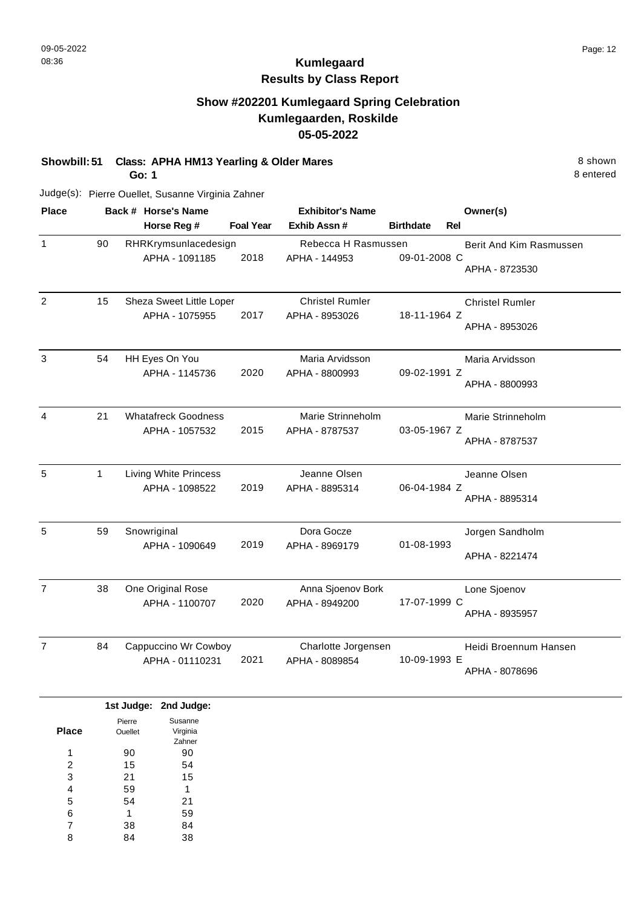# **Kumlegaard Results by Class Report**

## **Show #202201 Kumlegaard Spring Celebration Kumlegaarden, Roskilde 05-05-2022**

**Showbill: 51 Class: APHA HM13 Yearling & Older Mares** 8 Shown 8 shown

**Go: 1**

| <b>Place</b>   |              | Back # Horse's Name                        |                  | <b>Exhibitor's Name</b>                  |                  | Owner(s)                |
|----------------|--------------|--------------------------------------------|------------------|------------------------------------------|------------------|-------------------------|
|                |              | Horse Reg #                                | <b>Foal Year</b> | Exhib Assn #                             | <b>Birthdate</b> | Rel                     |
| 1              | 90           | RHRKrymsunlacedesign                       |                  | Rebecca H Rasmussen                      |                  | Berit And Kim Rasmussen |
|                |              | APHA - 1091185                             | 2018             | APHA - 144953                            | 09-01-2008 C     | APHA - 8723530          |
| $\overline{2}$ | 15           | Sheza Sweet Little Loper<br>APHA - 1075955 | 2017             | <b>Christel Rumler</b><br>APHA - 8953026 | 18-11-1964 Z     | <b>Christel Rumler</b>  |
|                |              |                                            |                  |                                          |                  | APHA - 8953026          |
| 3              | 54           | HH Eyes On You                             |                  | Maria Arvidsson                          |                  | Maria Arvidsson         |
|                |              | APHA - 1145736                             | 2020             | APHA - 8800993                           | 09-02-1991 Z     | APHA - 8800993          |
| 4              | 21           | <b>Whatafreck Goodness</b>                 |                  | Marie Strinneholm                        |                  | Marie Strinneholm       |
|                |              | APHA - 1057532                             | 2015             | APHA - 8787537                           | 03-05-1967 Z     | APHA - 8787537          |
| 5              | $\mathbf{1}$ | <b>Living White Princess</b>               |                  | Jeanne Olsen                             |                  | Jeanne Olsen            |
|                |              | APHA - 1098522                             | 2019             | APHA - 8895314                           | 06-04-1984 Z     | APHA - 8895314          |
| 5              | 59           | Snowriginal                                |                  | Dora Gocze                               |                  | Jorgen Sandholm         |
|                |              | APHA - 1090649                             | 2019             | APHA - 8969179                           | 01-08-1993       | APHA - 8221474          |
| $\overline{7}$ | 38           | One Original Rose                          |                  | Anna Sjoenov Bork                        |                  | Lone Sjoenov            |
|                |              | APHA - 1100707                             | 2020             | APHA - 8949200                           | 17-07-1999 C     | APHA - 8935957          |
| $\overline{7}$ | 84           | Cappuccino Wr Cowboy                       |                  | Charlotte Jorgensen                      |                  | Heidi Broennum Hansen   |
|                |              | APHA - 01110231                            | 2021             | APHA - 8089854                           | 10-09-1993 E     | APHA - 8078696          |
|                |              |                                            |                  |                                          |                  |                         |

|       |                | 1st Judge: 2nd Judge: |
|-------|----------------|-----------------------|
|       | Pierre         | Susanne               |
| Place | <b>Ouellet</b> | Virginia              |
|       |                | Zahner                |
| 1     | 90             | 90                    |
| 2     | 15             | 54                    |
| 3     | 21             | 15                    |
| 4     | 59             | 1                     |
| 5     | 54             | 21                    |
| 6     | 1              | 59                    |
| 7     | 38             | 84                    |
| 8     | 4              | 38                    |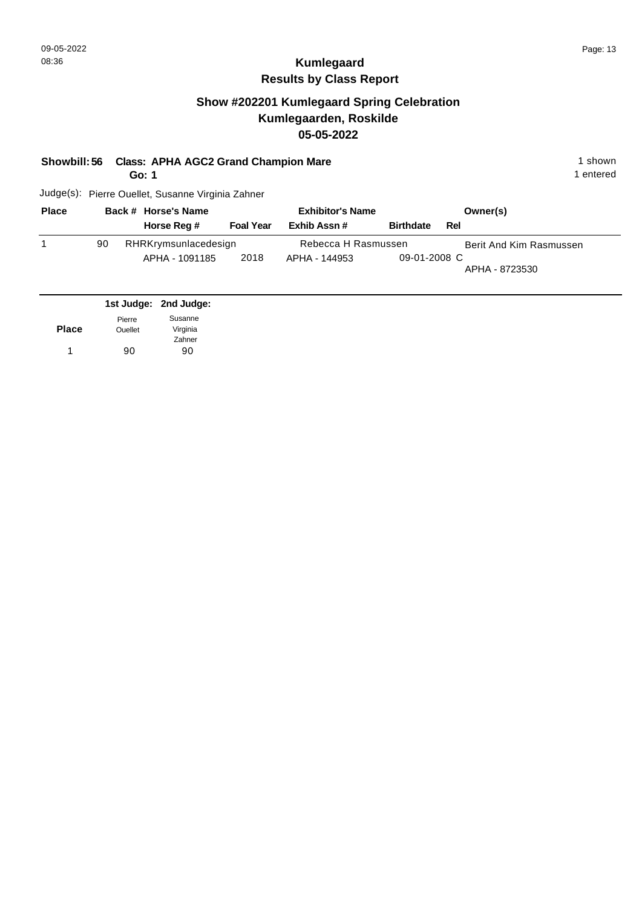## **Show #202201 Kumlegaard Spring Celebration Kumlegaarden, Roskilde 05-05-2022**

| Showbill: 56 Class: APHA AGC2 Grand Champion Mare | 1 shown |
|---------------------------------------------------|---------|
|                                                   |         |

**Go: 1**

1 entered

| <b>Place</b> |    | Back # Horse's Name  |                  | <b>Exhibitor's Name</b> |                  | Owner(s)                |
|--------------|----|----------------------|------------------|-------------------------|------------------|-------------------------|
|              |    | Horse Reg #          | <b>Foal Year</b> | Exhib Assn #            | <b>Birthdate</b> | Rel                     |
|              | 90 | RHRKrymsunlacedesign |                  | Rebecca H Rasmussen     |                  | Berit And Kim Rasmussen |
|              |    | APHA - 1091185       | 2018             | APHA - 144953           | 09-01-2008 C     | APHA - 8723530          |

|              |                | 1st Judge: 2nd Judge: |
|--------------|----------------|-----------------------|
|              | Pierre         | Susanne               |
| <b>Place</b> | <b>Ouellet</b> | Virginia              |
|              |                | Zahner                |
| 1            | 90             | 90                    |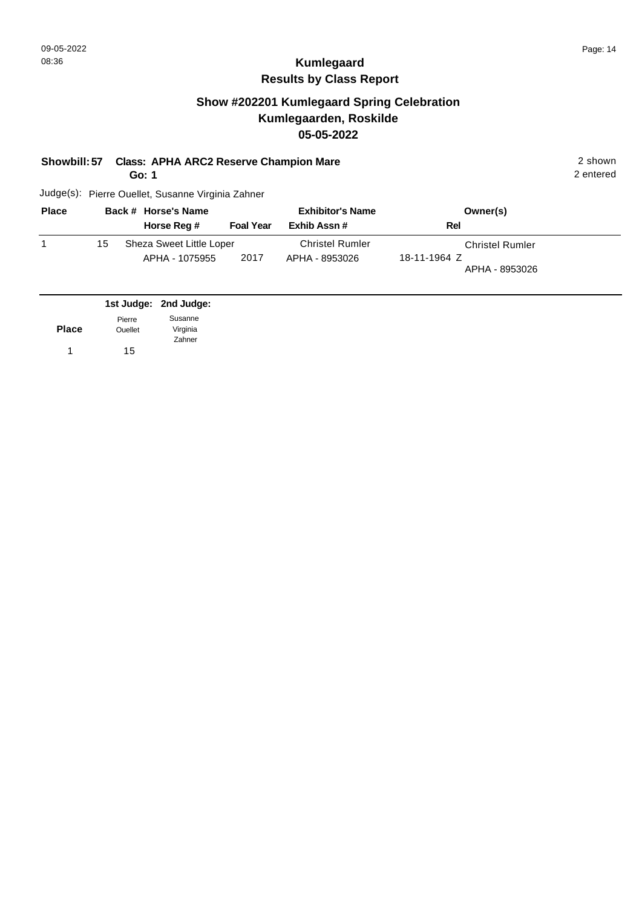# **Kumlegaard Results by Class Report**

## **Show #202201 Kumlegaard Spring Celebration Kumlegaarden, Roskilde 05-05-2022**

**Showbill: 57 Class: APHA ARC2 Reserve Champion Mare** 2 shown

**Go: 1**

| <b>Place</b> |    | Back # Horse's Name                        |                  | <b>Exhibitor's Name</b>                  | Owner(s)                                                 |  |
|--------------|----|--------------------------------------------|------------------|------------------------------------------|----------------------------------------------------------|--|
|              |    | Horse Reg #                                | <b>Foal Year</b> | Exhib Assn#                              | Rel                                                      |  |
|              | 15 | Sheza Sweet Little Loper<br>APHA - 1075955 | 2017             | <b>Christel Rumler</b><br>APHA - 8953026 | <b>Christel Rumler</b><br>18-11-1964 Z<br>APHA - 8953026 |  |

|              |                | 1st Judge: 2nd Judge: |
|--------------|----------------|-----------------------|
|              | Pierre         | Susanne               |
| <b>Place</b> | <b>Ouellet</b> | Virginia              |
|              |                | Zahner                |
|              | 15             |                       |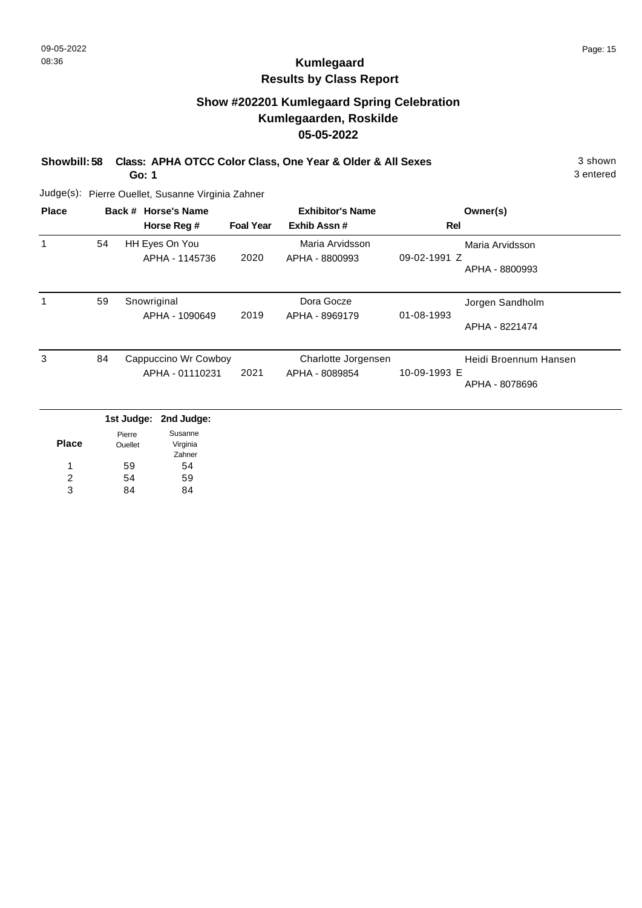# **Kumlegaard Results by Class Report**

## **Show #202201 Kumlegaard Spring Celebration Kumlegaarden, Roskilde 05-05-2022**

**Showbill: 58 Class: APHA OTCC Color Class, One Year & Older & All Sexes** 3 shown

**Go: 1**

| <b>Place</b> |    | Back # Horse's Name<br>Horse Reg #      | <b>Foal Year</b> | <b>Exhibitor's Name</b><br>Exhib Assn# | Rel          | Owner(s)                                |
|--------------|----|-----------------------------------------|------------------|----------------------------------------|--------------|-----------------------------------------|
|              | 54 | HH Eyes On You<br>APHA - 1145736        | 2020             | Maria Arvidsson<br>APHA - 8800993      | 09-02-1991 Z | Maria Arvidsson<br>APHA - 8800993       |
|              | 59 | Snowriginal<br>APHA - 1090649           | 2019             | Dora Gocze<br>APHA - 8969179           | 01-08-1993   | Jorgen Sandholm<br>APHA - 8221474       |
| 3            | 84 | Cappuccino Wr Cowboy<br>APHA - 01110231 | 2021             | Charlotte Jorgensen<br>APHA - 8089854  | 10-09-1993 E | Heidi Broennum Hansen<br>APHA - 8078696 |
|              |    | 1st Judge: 2nd Judge:                   |                  |                                        |              |                                         |

|       | .       | <b>EUM AMANA</b> |
|-------|---------|------------------|
|       | Pierre  | Susanne          |
| Place | Ouellet | Virginia         |
|       |         | Zahner           |
| 1     | 59      | 54               |
| 2     | 54      | 59               |
| 3     | RΔ      |                  |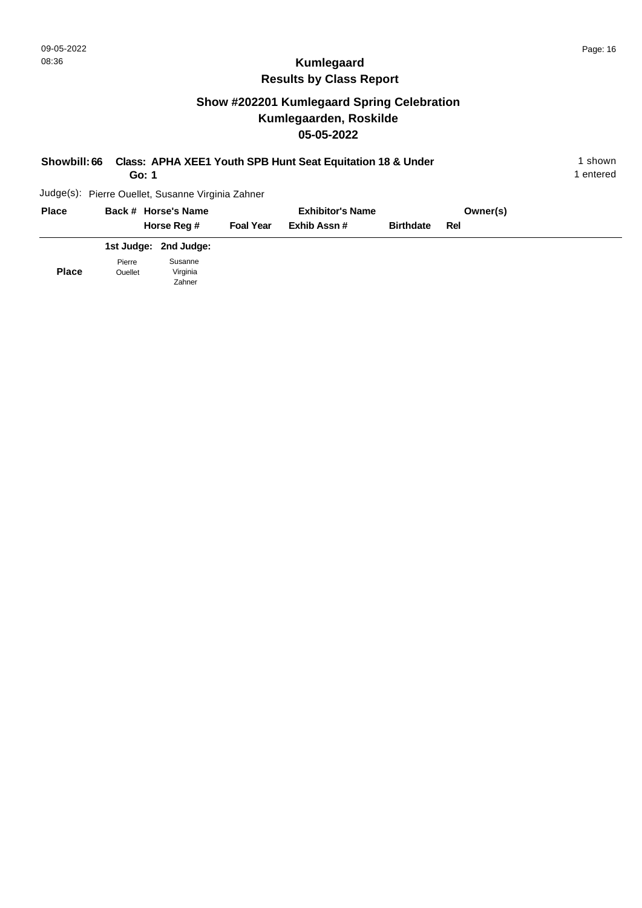# **Show #202201 Kumlegaard Spring Celebration Kumlegaarden, Roskilde 05-05-2022**

| Class: APHA XEE1 Youth SPB Hunt Seat Equitation 18 & Under<br>Showbill: 66<br>Go: 1 |        |                                                   |                  |                         |                  | 1 shown<br>1 entered |  |
|-------------------------------------------------------------------------------------|--------|---------------------------------------------------|------------------|-------------------------|------------------|----------------------|--|
|                                                                                     |        | Judge(s): Pierre Ouellet, Susanne Virginia Zahner |                  |                         |                  |                      |  |
| <b>Place</b>                                                                        |        | Back # Horse's Name                               |                  | <b>Exhibitor's Name</b> |                  | Owner(s)             |  |
|                                                                                     |        | Horse Reg #                                       | <b>Foal Year</b> | Exhib Assn#             | <b>Birthdate</b> | Rel                  |  |
|                                                                                     |        | 1st Judge: 2nd Judge:                             |                  |                         |                  |                      |  |
|                                                                                     | Pierre | Susanne                                           |                  |                         |                  |                      |  |

**Place** Ouellet Virginia Zahner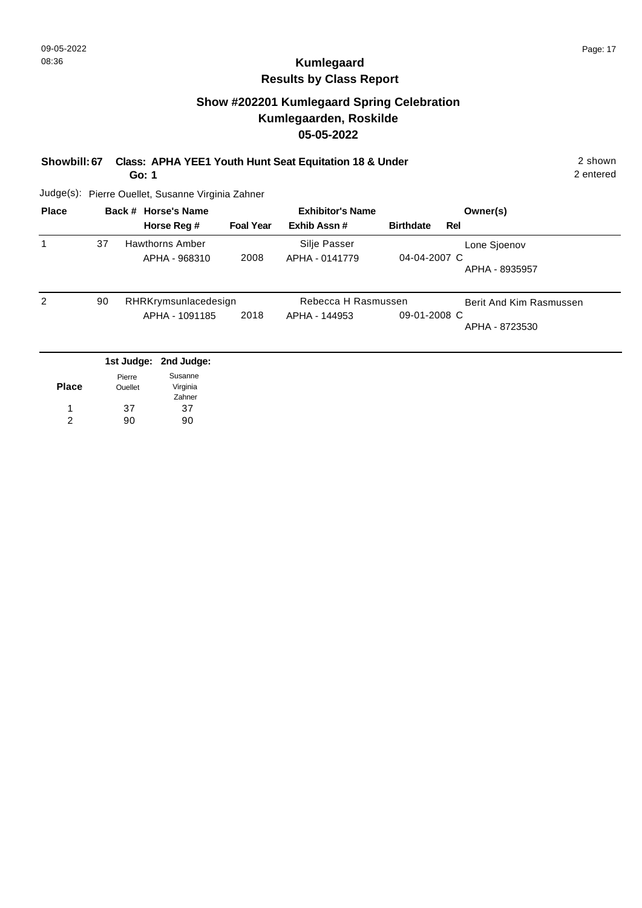## **Show #202201 Kumlegaard Spring Celebration Kumlegaarden, Roskilde 05-05-2022**

#### **Showbill: 67 Class: APHA YEE1 Youth Hunt Seat Equitation 18 & Under** 2 shown 2 shown

**Go: 1**

2 entered

| Lone Sjoenov            |
|-------------------------|
| APHA - 8935957          |
| Berit And Kim Rasmussen |
| APHA - 8723530          |
|                         |

| <b>Place</b> | Pierre<br><b>Ouellet</b> | Susanne<br>Virginia<br>Zahner |
|--------------|--------------------------|-------------------------------|
| 1            | 37                       | 37                            |
| 2            | 90                       | 90                            |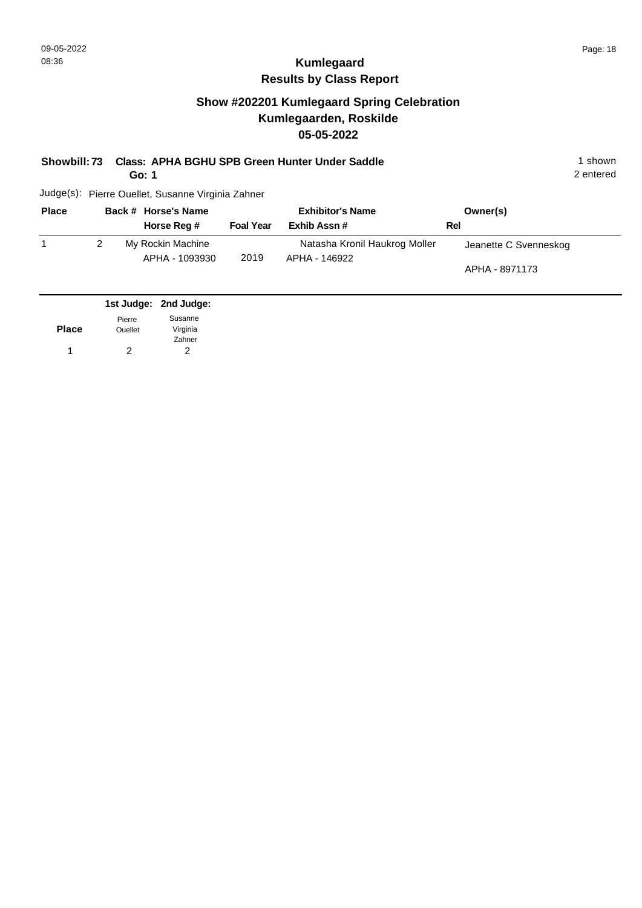## **Show #202201 Kumlegaard Spring Celebration Kumlegaarden, Roskilde 05-05-2022**

#### **Showbill: 73 Class: APHA BGHU SPB Green Hunter Under Saddle** 1 Shown 1 shown

**Go: 1**

2 entered

| <b>Place</b> | Back # Horse's Name                 |                  | <b>Exhibitor's Name</b>                        | Owner(s)                                |
|--------------|-------------------------------------|------------------|------------------------------------------------|-----------------------------------------|
|              | Horse Reg #                         | <b>Foal Year</b> | Exhib Assn#                                    | Rel                                     |
|              | My Rockin Machine<br>APHA - 1093930 | 2019             | Natasha Kronil Haukrog Moller<br>APHA - 146922 | Jeanette C Svenneskog<br>APHA - 8971173 |

|              |                | 1st Judge: 2nd Judge: |
|--------------|----------------|-----------------------|
|              | Pierre         | Susanne               |
| <b>Place</b> | <b>Ouellet</b> | Virginia              |
|              |                | Zahner                |
|              | 2              | 2                     |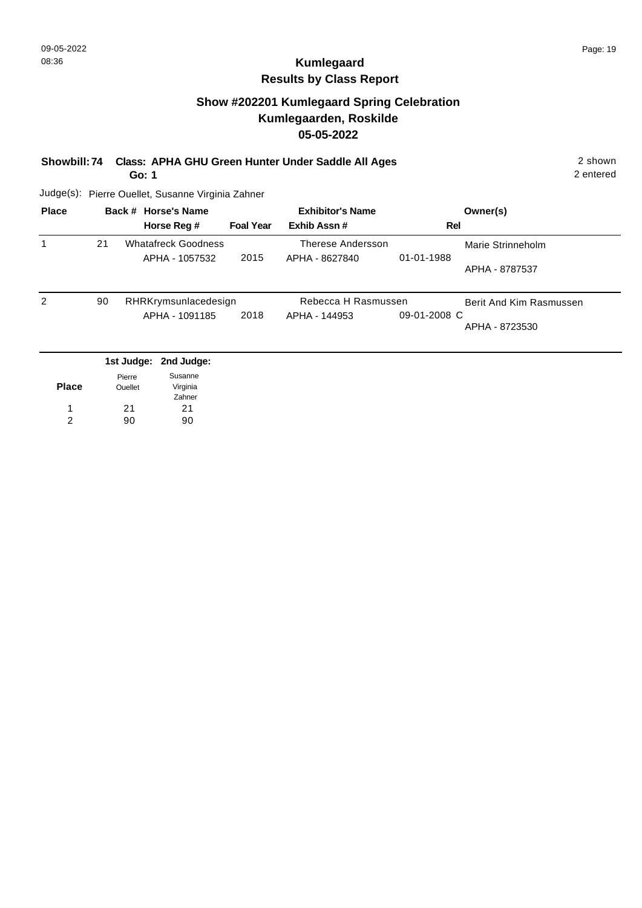## **Show #202201 Kumlegaard Spring Celebration Kumlegaarden, Roskilde 05-05-2022**

#### **Showbill: 74 Class: APHA GHU Green Hunter Under Saddle All Ages** 2 shown

**Go: 1**

2 entered

| <b>Place</b> |    | Back # Horse's Name        |                  | <b>Exhibitor's Name</b> |              | Owner(s)                |
|--------------|----|----------------------------|------------------|-------------------------|--------------|-------------------------|
|              |    | Horse Reg #                | <b>Foal Year</b> | Exhib Assn#             | Rel          |                         |
|              | 21 | <b>Whatafreck Goodness</b> |                  | Therese Andersson       |              | Marie Strinneholm       |
|              |    | APHA - 1057532             | 2015             | APHA - 8627840          | 01-01-1988   |                         |
|              |    |                            |                  |                         |              | APHA - 8787537          |
| 2            | 90 | RHRKrymsunlacedesign       |                  | Rebecca H Rasmussen     |              | Berit And Kim Rasmussen |
|              |    | APHA - 1091185             | 2018             | APHA - 144953           | 09-01-2008 C |                         |
|              |    |                            |                  |                         |              | APHA - 8723530          |
|              |    |                            |                  |                         |              |                         |
|              |    | 1st Judge: 2nd Judge:      |                  |                         |              |                         |

|              | .       | <b>FINANDARY.</b> |
|--------------|---------|-------------------|
|              | Pierre  | Susanne           |
| <b>Place</b> | Ouellet | Virginia          |
|              |         | Zahner            |
| 1            | 21      | 21                |
| 2            | 90      | 90                |
|              |         |                   |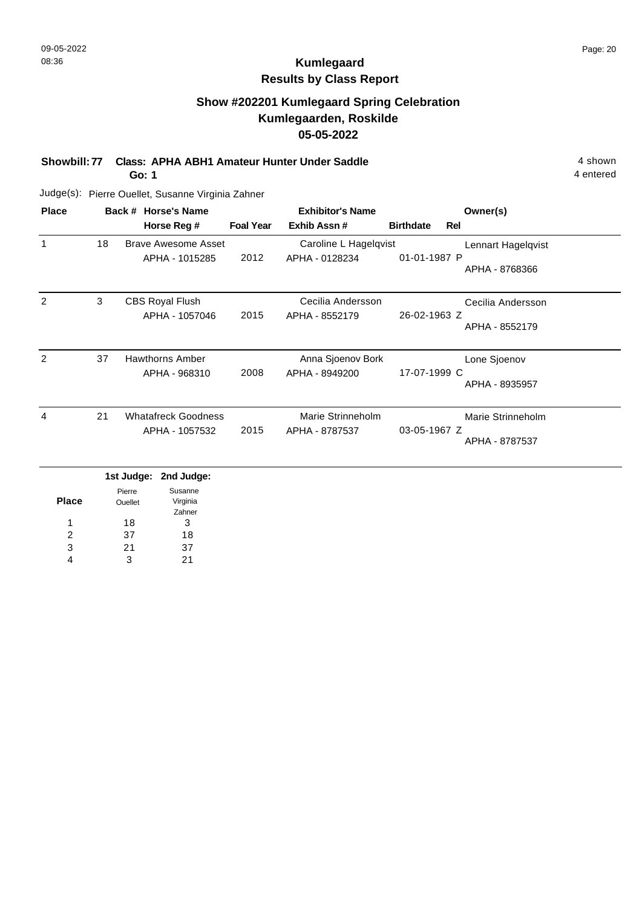## **Show #202201 Kumlegaard Spring Celebration Kumlegaarden, Roskilde 05-05-2022**

**Showbill: 77 Class: APHA ABH1 Amateur Hunter Under Saddle** 4 shown

**Go: 1**

4 entered

| <b>Place</b>  |    | Back # Horse's Name                          |                  | <b>Exhibitor's Name</b>                 |                  |     | Owner(s)                             |
|---------------|----|----------------------------------------------|------------------|-----------------------------------------|------------------|-----|--------------------------------------|
|               |    | Horse Reg #                                  | <b>Foal Year</b> | Exhib Assn#                             | <b>Birthdate</b> | Rel |                                      |
| $\mathbf{1}$  | 18 | Brave Awesome Asset<br>APHA - 1015285        | 2012             | Caroline L Hagelqvist<br>APHA - 0128234 | 01-01-1987 P     |     | Lennart Hagelqvist<br>APHA - 8768366 |
| 2             | 3  | <b>CBS Royal Flush</b><br>APHA - 1057046     | 2015             | Cecilia Andersson<br>APHA - 8552179     | 26-02-1963 Z     |     | Cecilia Andersson<br>APHA - 8552179  |
| $\mathcal{P}$ | 37 | <b>Hawthorns Amber</b><br>APHA - 968310      | 2008             | Anna Sjoenov Bork<br>APHA - 8949200     | 17-07-1999 C     |     | Lone Sjoenov<br>APHA - 8935957       |
| 4             | 21 | <b>Whatafreck Goodness</b><br>APHA - 1057532 | 2015             | Marie Strinneholm<br>APHA - 8787537     | 03-05-1967 Z     |     | Marie Strinneholm<br>APHA - 8787537  |

|              |         | 1st Judge: 2nd Judge: |
|--------------|---------|-----------------------|
|              | Pierre  | Susanne               |
| <b>Place</b> | Ouellet | Virginia              |
|              |         | Zahner                |
| 1            | 18      | 3                     |
| 2            | 37      | 18                    |
| 3            | 21      | 37                    |
|              | 3       | 21                    |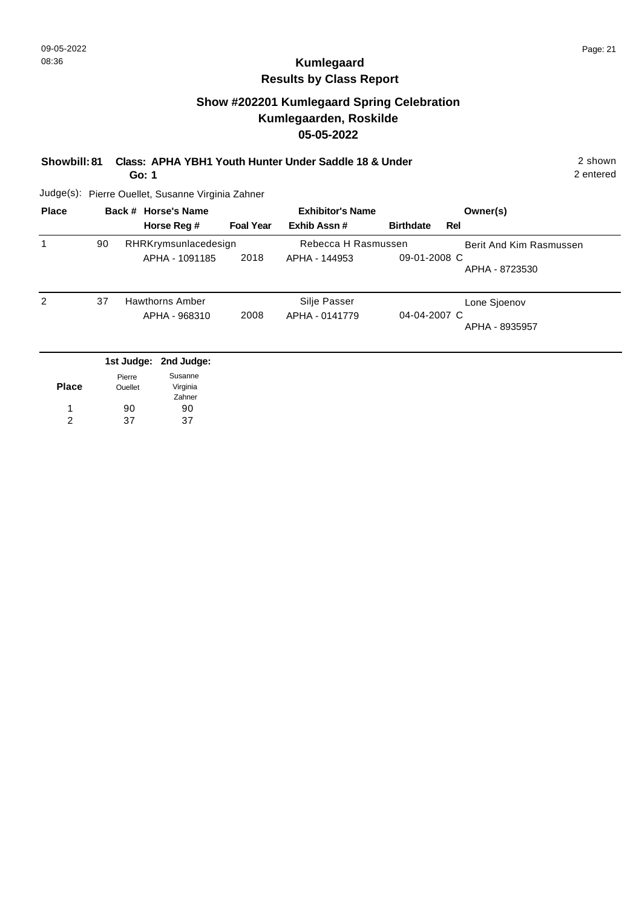### **Show #202201 Kumlegaard Spring Celebration Kumlegaarden, Roskilde 05-05-2022**

**Showbill: 81 Class: APHA YBH1 Youth Hunter Under Saddle 18 & Under** 2 shown

**Go: 1**

2 entered

| <b>Place</b> |    | Back # Horse's Name              |                  |                                | <b>Exhibitor's Name</b> | Owner(s)                |
|--------------|----|----------------------------------|------------------|--------------------------------|-------------------------|-------------------------|
|              |    | Horse Reg #                      | <b>Foal Year</b> | Exhib Assn#                    | <b>Birthdate</b>        | Rel                     |
|              | 90 | RHRKrymsunlacedesign             |                  | Rebecca H Rasmussen            |                         | Berit And Kim Rasmussen |
|              |    | APHA - 1091185                   | 2018             | APHA - 144953                  | 09-01-2008 C            | APHA - 8723530          |
| 2            | 37 | Hawthorns Amber<br>APHA - 968310 | 2008             | Silje Passer<br>APHA - 0141779 | 04-04-2007 C            | Lone Sjoenov            |
|              |    |                                  |                  |                                |                         | APHA - 8935957          |
|              |    | 1st Judge: 2nd Judge:            |                  |                                |                         |                         |
|              |    | Sucanno<br>Diorro.               |                  |                                |                         |                         |

|              | Pierre  | Susanne  |
|--------------|---------|----------|
| <b>Place</b> | Ouellet | Virginia |
|              |         | Zahner   |
|              | 90      | 90       |
| 2            | 37      | 37       |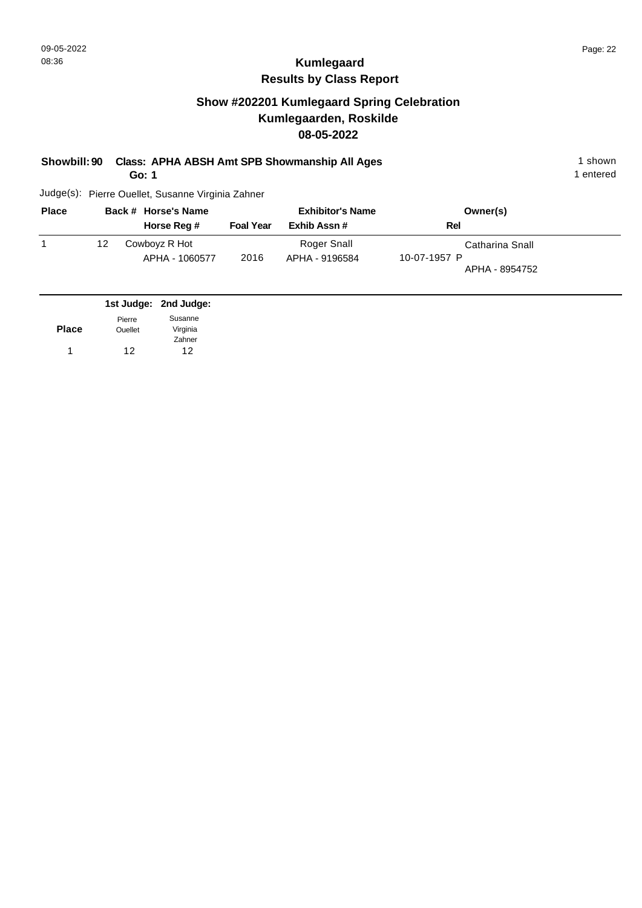## **Show #202201 Kumlegaard Spring Celebration Kumlegaarden, Roskilde 08-05-2022**

#### **Showbill: 90 Class: APHA ABSH Amt SPB Showmanship All Ages** 1 shown 1 shown

**Go: 1**

1 entered

| <b>Place</b> |    | Back # Horse's Name             |                  | <b>Exhibitor's Name</b>       | Owner(s)                                          |
|--------------|----|---------------------------------|------------------|-------------------------------|---------------------------------------------------|
|              |    | Horse Reg #                     | <b>Foal Year</b> | Exhib Assn#                   | Rel                                               |
|              | 12 | Cowboyz R Hot<br>APHA - 1060577 | 2016             | Roger Snall<br>APHA - 9196584 | Catharina Snall<br>10-07-1957 P<br>APHA - 8954752 |

|              |                | 1st Judge: 2nd Judge: |
|--------------|----------------|-----------------------|
|              | Pierre         | Susanne               |
| <b>Place</b> | <b>Ouellet</b> | Virginia              |
|              |                | Zahner                |
|              | 12             | 12                    |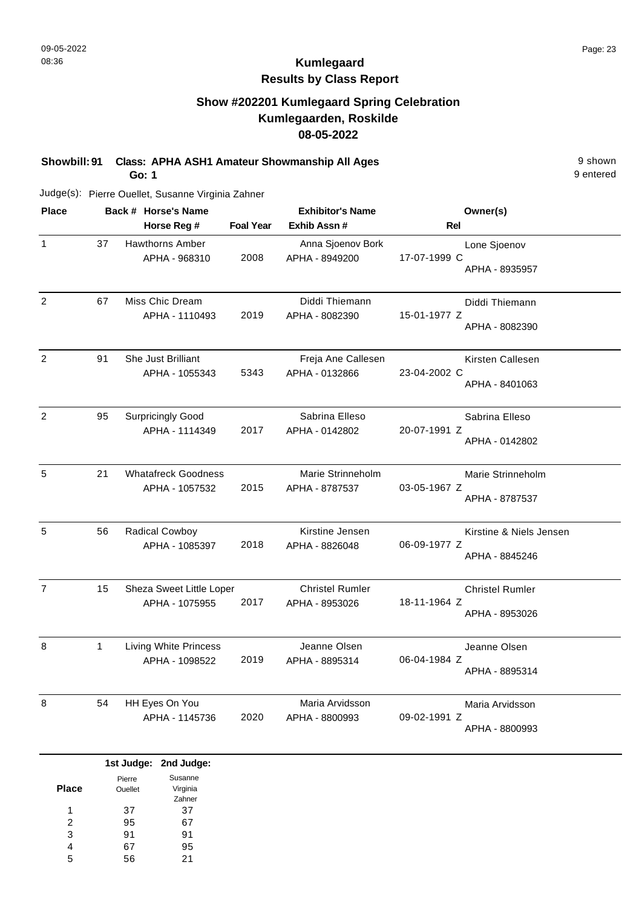# **Kumlegaard Results by Class Report**

## **Show #202201 Kumlegaard Spring Celebration Kumlegaarden, Roskilde 08-05-2022**

**Showbill: 91 Class: APHA ASH1 Amateur Showmanship All Ages** 9 shown

**Go: 1**

| <b>Place</b>   |              | Back # Horse's Name                            |                  | <b>Exhibitor's Name</b>                  | Owner(s)                                                  |
|----------------|--------------|------------------------------------------------|------------------|------------------------------------------|-----------------------------------------------------------|
|                |              | Horse Reg #                                    | <b>Foal Year</b> | Exhib Assn#                              | Rel                                                       |
| $\mathbf{1}$   | 37           | Hawthorns Amber<br>APHA - 968310               | 2008             | Anna Sjoenov Bork<br>APHA - 8949200      | Lone Sjoenov<br>17-07-1999 C<br>APHA - 8935957            |
| $\overline{2}$ | 67           | Miss Chic Dream<br>APHA - 1110493              | 2019             | Diddi Thiemann<br>APHA - 8082390         | Diddi Thiemann<br>15-01-1977 Z<br>APHA - 8082390          |
| $\overline{c}$ | 91           | She Just Brilliant<br>APHA - 1055343           | 5343             | Freja Ane Callesen<br>APHA - 0132866     | Kirsten Callesen<br>23-04-2002 C<br>APHA - 8401063        |
| $\overline{c}$ | 95           | <b>Surpricingly Good</b><br>APHA - 1114349     | 2017             | Sabrina Elleso<br>APHA - 0142802         | Sabrina Elleso<br>20-07-1991 Z<br>APHA - 0142802          |
| 5              | 21           | <b>Whatafreck Goodness</b><br>APHA - 1057532   | 2015             | Marie Strinneholm<br>APHA - 8787537      | Marie Strinneholm<br>03-05-1967 Z<br>APHA - 8787537       |
| 5              | 56           | Radical Cowboy<br>APHA - 1085397               | 2018             | Kirstine Jensen<br>APHA - 8826048        | Kirstine & Niels Jensen<br>06-09-1977 Z<br>APHA - 8845246 |
| $\overline{7}$ | 15           | Sheza Sweet Little Loper<br>APHA - 1075955     | 2017             | <b>Christel Rumler</b><br>APHA - 8953026 | <b>Christel Rumler</b><br>18-11-1964 Z<br>APHA - 8953026  |
| 8              | $\mathbf{1}$ | <b>Living White Princess</b><br>APHA - 1098522 | 2019             | Jeanne Olsen<br>APHA - 8895314           | Jeanne Olsen<br>06-04-1984 Z<br>APHA - 8895314            |
| 8              | 54           | HH Eyes On You<br>APHA - 1145736               | 2020             | Maria Arvidsson<br>APHA - 8800993        | Maria Arvidsson<br>09-02-1991 Z<br>APHA - 8800993         |

|              |         | 1st Judge: 2nd Judge: |
|--------------|---------|-----------------------|
|              | Pierre  | Susanne               |
| <b>Place</b> | Ouellet | Virginia              |
|              |         | Zahner                |
| 1            | 37      | 37                    |
| 2            | 95      | 67                    |
| 3            | 91      | 91                    |
| 4            | 67      | 95                    |
| 5            | 56      | 21                    |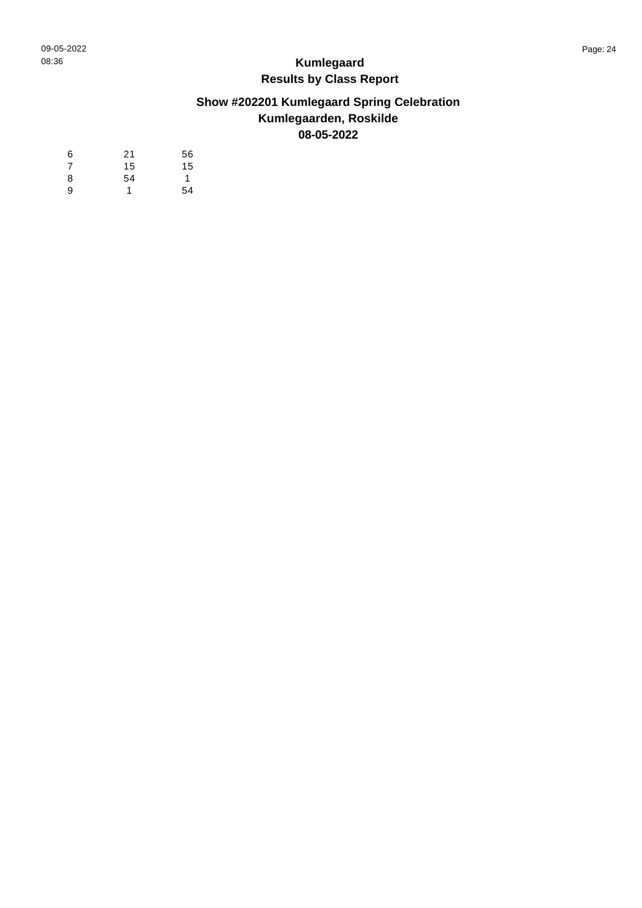# **Show #202201 Kumlegaard Spring Celebration Kumlegaarden, Roskilde 08-05-2022**

| 6 | 21 | 56 |
|---|----|----|
| 7 | 15 | 15 |
| 8 | 54 | 1  |
| 9 | 1  | 54 |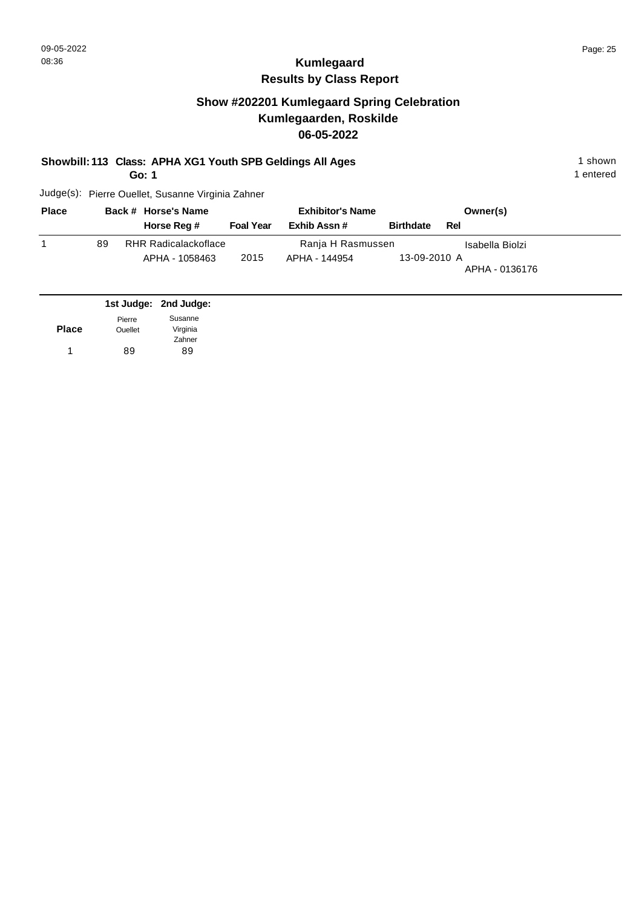## **Show #202201 Kumlegaard Spring Celebration Kumlegaarden, Roskilde 06-05-2022**

#### **Showbill: 113 Class: APHA XG1 Youth SPB Geldings All Ages** 1 shown

**Go: 1**

1 entered

| <b>Place</b> |    | Back # Horse's Name         | <b>Exhibitor's Name</b> |                   | Owner(s)         |                 |  |
|--------------|----|-----------------------------|-------------------------|-------------------|------------------|-----------------|--|
|              |    | Horse Reg #                 | <b>Foal Year</b>        | Exhib Assn#       | <b>Birthdate</b> | Rel             |  |
|              | 89 | <b>RHR Radicalackoflace</b> |                         | Ranja H Rasmussen |                  | Isabella Biolzi |  |
|              |    | APHA - 1058463              | 2015                    | APHA - 144954     | 13-09-2010 A     | APHA - 0136176  |  |
|              |    |                             |                         |                   |                  |                 |  |

|              |                          | 1st Judge: 2nd Judge: |
|--------------|--------------------------|-----------------------|
| <b>Place</b> | Pierre<br><b>Ouellet</b> | Susanne<br>Virginia   |
|              |                          | Zahner                |
|              | 89                       | 89                    |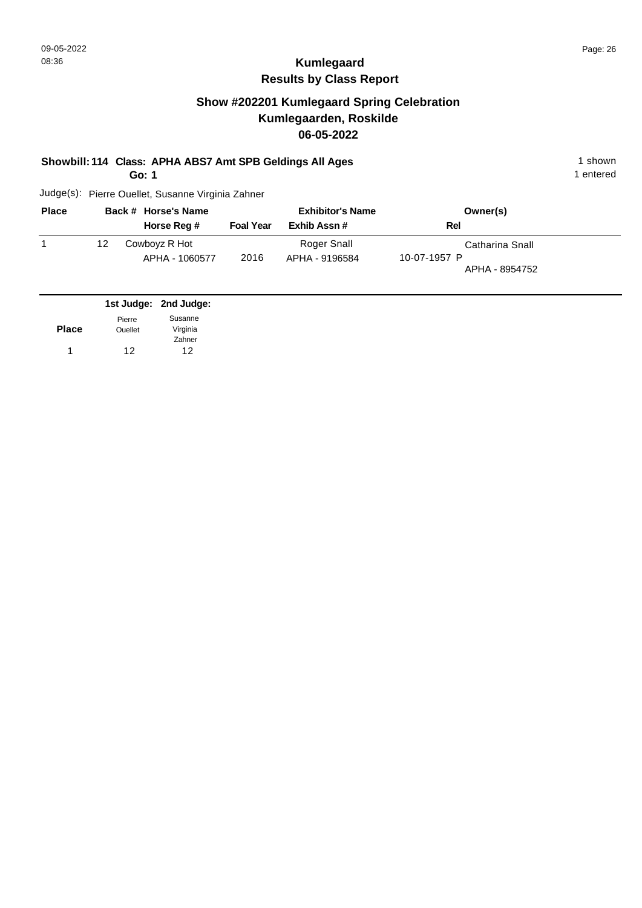# **Kumlegaard Results by Class Report**

## **Show #202201 Kumlegaard Spring Celebration Kumlegaarden, Roskilde 06-05-2022**

#### **Showbill: 114 Class: APHA ABS7 Amt SPB Geldings All Ages** 1 shown

**Go: 1**

| <b>Place</b> |    | Back # Horse's Name             |                  | <b>Exhibitor's Name</b>       | Owner(s)                                          |  |
|--------------|----|---------------------------------|------------------|-------------------------------|---------------------------------------------------|--|
|              |    | Horse Reg #                     | <b>Foal Year</b> | Exhib Assn#                   | Rel                                               |  |
|              | 12 | Cowboyz R Hot<br>APHA - 1060577 | 2016             | Roger Snall<br>APHA - 9196584 | Catharina Snall<br>10-07-1957 P<br>APHA - 8954752 |  |

|              |                | 1st Judge: 2nd Judge: |
|--------------|----------------|-----------------------|
|              | Pierre         | Susanne               |
| <b>Place</b> | <b>Ouellet</b> | Virginia              |
|              |                | Zahner                |
| 1            | 12             | 12                    |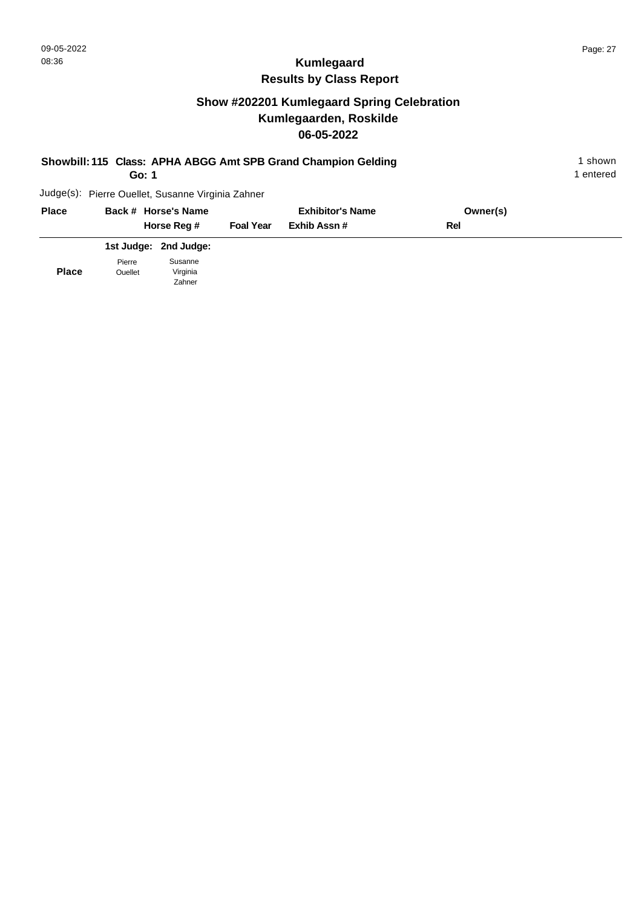**Place**

Ouellet

Virginia Zahner

# **Kumlegaard Results by Class Report**

# **Show #202201 Kumlegaard Spring Celebration Kumlegaarden, Roskilde 06-05-2022**

| Showbill: 115 Class: APHA ABGG Amt SPB Grand Champion Gelding<br>Go: 1 |                                                   |                  |                         |          |  |
|------------------------------------------------------------------------|---------------------------------------------------|------------------|-------------------------|----------|--|
|                                                                        | Judge(s): Pierre Ouellet, Susanne Virginia Zahner |                  |                         |          |  |
| <b>Place</b>                                                           | Back # Horse's Name                               |                  | <b>Exhibitor's Name</b> | Owner(s) |  |
|                                                                        | Horse Reg #                                       | <b>Foal Year</b> | Exhib Assn#             | Rel      |  |
|                                                                        | 1st Judge: 2nd Judge:                             |                  |                         |          |  |
|                                                                        | Susanne<br>Pierre                                 |                  |                         |          |  |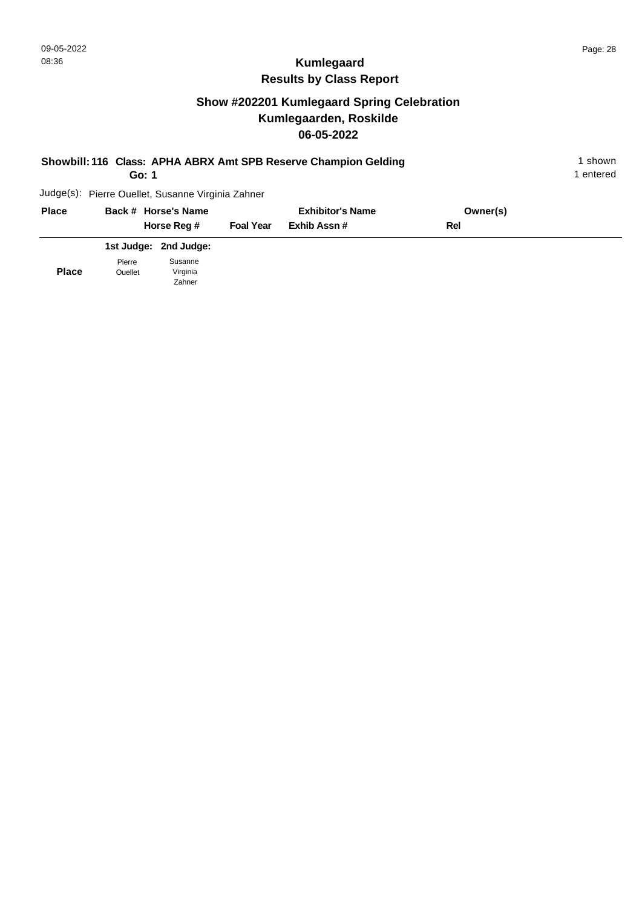# **Show #202201 Kumlegaard Spring Celebration Kumlegaarden, Roskilde 06-05-2022**

| Showbill: 116 Class: APHA ABRX Amt SPB Reserve Champion Gelding<br>Go: 1 |  |                                                   |                  |                         |            | 1 shown<br>1 entered |
|--------------------------------------------------------------------------|--|---------------------------------------------------|------------------|-------------------------|------------|----------------------|
|                                                                          |  | Judge(s): Pierre Ouellet, Susanne Virginia Zahner |                  |                         |            |                      |
| <b>Place</b>                                                             |  | Back # Horse's Name                               |                  | <b>Exhibitor's Name</b> | Owner(s)   |                      |
|                                                                          |  | Horse Reg #                                       | <b>Foal Year</b> | Exhib Assn#             | <b>Rel</b> |                      |
|                                                                          |  | 1st Judge: 2nd Judge:                             |                  |                         |            |                      |

**Place** Pierre Ouellet Susanne Virginia Zahner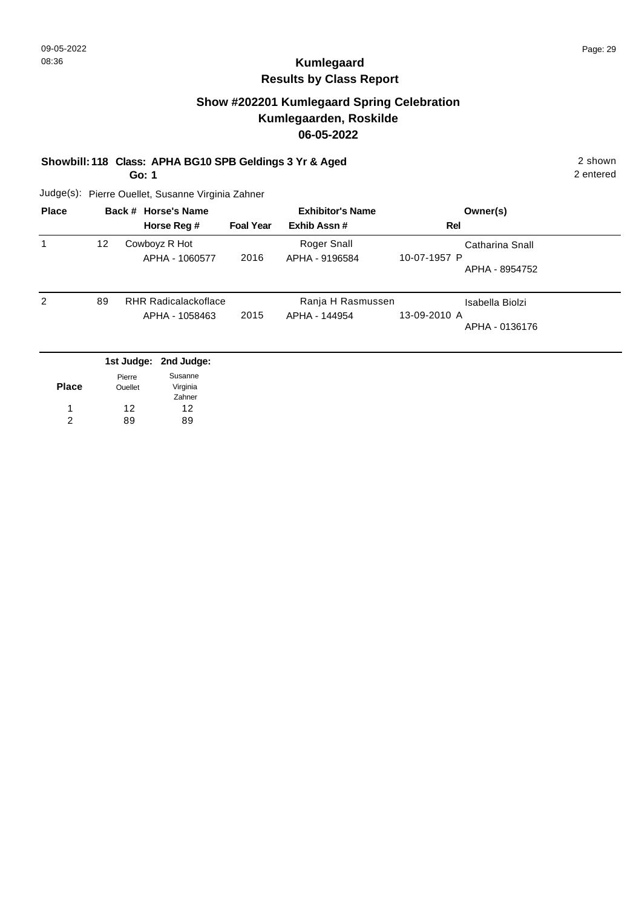# **Kumlegaard Results by Class Report**

### **Show #202201 Kumlegaard Spring Celebration Kumlegaarden, Roskilde 06-05-2022**

**Showbill: 118 Class: APHA BG10 SPB Geldings 3 Yr & Aged** 2 shown

**Go: 1**

| <b>Place</b> |    | Back # Horse's Name                           |                  | <b>Exhibitor's Name</b>            | Owner(s)                                          |  |
|--------------|----|-----------------------------------------------|------------------|------------------------------------|---------------------------------------------------|--|
|              |    | Horse Reg #                                   | <b>Foal Year</b> | Exhib Assn#                        | Rel                                               |  |
| 1            | 12 | Cowboyz R Hot<br>APHA - 1060577               | 2016             | Roger Snall<br>APHA - 9196584      | Catharina Snall<br>10-07-1957 P<br>APHA - 8954752 |  |
| 2            | 89 | <b>RHR Radicalackoflace</b><br>APHA - 1058463 | 2015             | Ranja H Rasmussen<br>APHA - 144954 | Isabella Biolzi<br>13-09-2010 A<br>APHA - 0136176 |  |
|              |    | 1st Judge: 2nd Judge:                         |                  |                                    |                                                   |  |

| <b>Place</b> | Pierre<br><b>Ouellet</b> | Susanne<br>Virginia |
|--------------|--------------------------|---------------------|
|              |                          | Zahner              |
|              | 12                       | 12                  |
| 2            | 89                       | яq                  |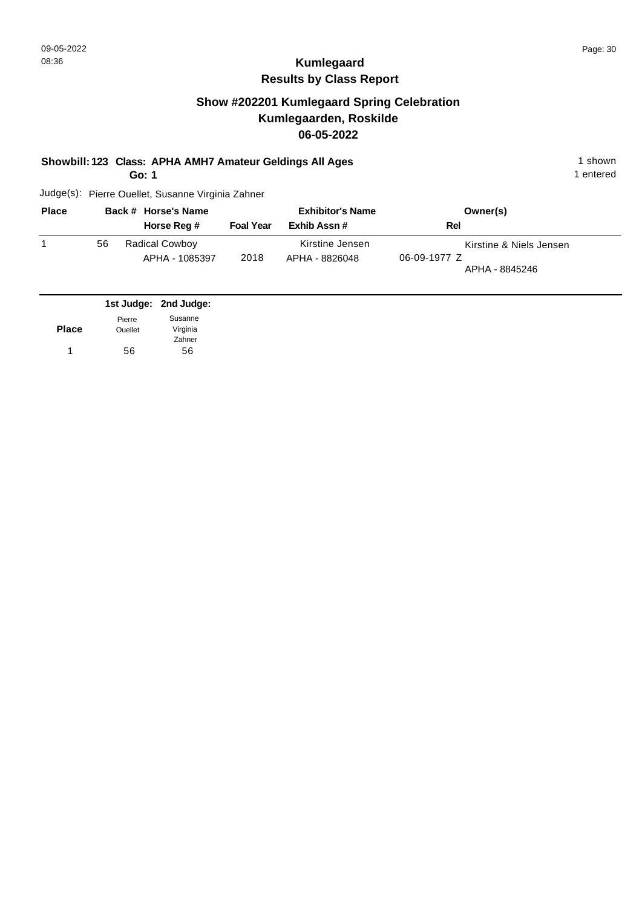## **Show #202201 Kumlegaard Spring Celebration Kumlegaarden, Roskilde 06-05-2022**

**Showbill: 123 Class: APHA AMH7 Amateur Geldings All Ages** 1 shown

**Go: 1**

1 entered

| <b>Place</b> |    | Back # Horse's Name                     |                  | <b>Exhibitor's Name</b>           | Owner(s)                                                  |
|--------------|----|-----------------------------------------|------------------|-----------------------------------|-----------------------------------------------------------|
|              |    | Horse Reg #                             | <b>Foal Year</b> | Exhib Assn#                       | Rel                                                       |
|              | 56 | <b>Radical Cowboy</b><br>APHA - 1085397 | 2018             | Kirstine Jensen<br>APHA - 8826048 | Kirstine & Niels Jensen<br>06-09-1977 Z<br>APHA - 8845246 |

|              |                | 1st Judge: 2nd Judge: |
|--------------|----------------|-----------------------|
|              | Pierre         | Susanne               |
| <b>Place</b> | <b>Ouellet</b> | Virginia              |
|              |                | Zahner                |
|              | 56             | 56                    |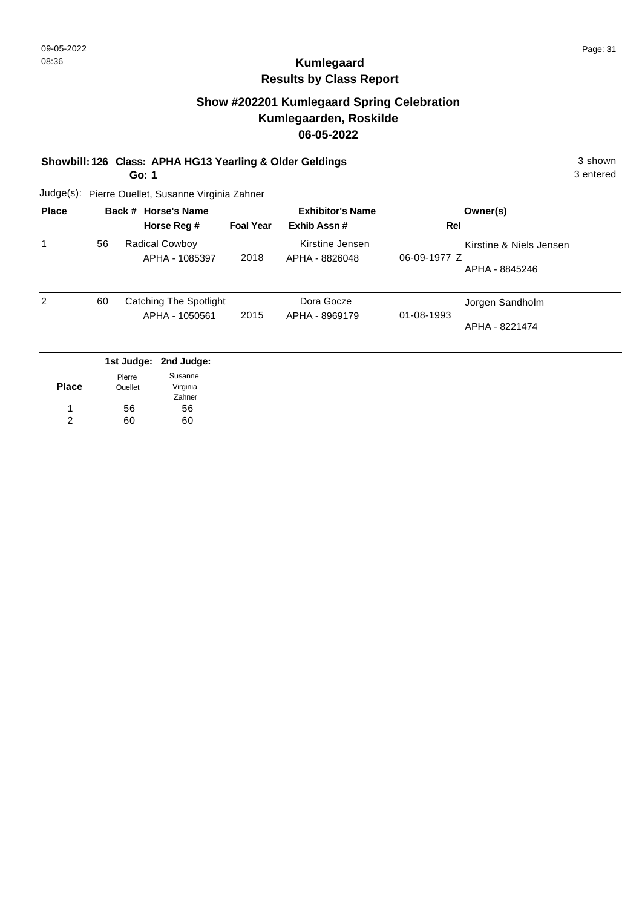# **Kumlegaard Results by Class Report**

## **Show #202201 Kumlegaard Spring Celebration Kumlegaarden, Roskilde 06-05-2022**

#### **Showbill: 126 Class: APHA HG13 Yearling & Older Geldings** 3 shown

**Go: 1**

| <b>Place</b> |    | Back # Horse's Name<br>Horse Reg #       | <b>Foal Year</b> | <b>Exhibitor's Name</b><br>Exhib Assn# | Owner(s)<br>Rel                                           |
|--------------|----|------------------------------------------|------------------|----------------------------------------|-----------------------------------------------------------|
|              | 56 | <b>Radical Cowboy</b><br>APHA - 1085397  | 2018             | Kirstine Jensen<br>APHA - 8826048      | Kirstine & Niels Jensen<br>06-09-1977 Z<br>APHA - 8845246 |
| 2            | 60 | Catching The Spotlight<br>APHA - 1050561 | 2015             | Dora Gocze<br>APHA - 8969179           | Jorgen Sandholm<br>01-08-1993<br>APHA - 8221474           |
|              |    | 1st Judge: 2nd Judge:                    |                  |                                        |                                                           |

|              | Pierre         | Susanne  |
|--------------|----------------|----------|
| <b>Place</b> | <b>Ouellet</b> | Virginia |
|              |                | Zahner   |
| 1            | 56             | 56       |
| 2            | 60             | 60       |
|              |                |          |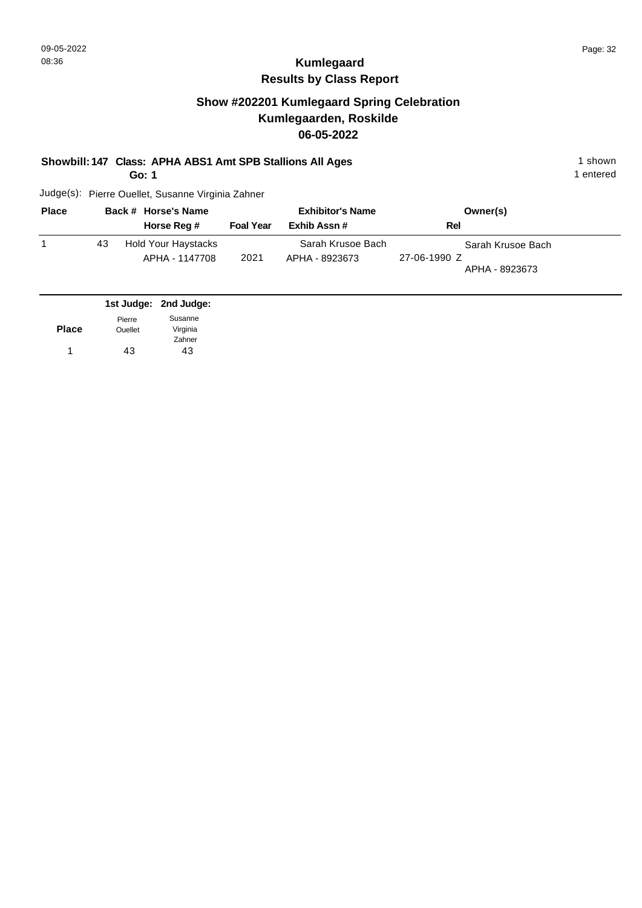# **Kumlegaard Results by Class Report**

## **Show #202201 Kumlegaard Spring Celebration Kumlegaarden, Roskilde 06-05-2022**

#### **Showbill: 147 Class: APHA ABS1 Amt SPB Stallions All Ages** 1 shown

**Go: 1**

| <b>Place</b> |    | Back # Horse's Name                          |                  | <b>Exhibitor's Name</b>             | Owner(s)                                            |  |
|--------------|----|----------------------------------------------|------------------|-------------------------------------|-----------------------------------------------------|--|
|              |    | Horse Reg #                                  | <b>Foal Year</b> | Exhib Assn#                         | Rel                                                 |  |
|              | 43 | <b>Hold Your Haystacks</b><br>APHA - 1147708 | 2021             | Sarah Krusoe Bach<br>APHA - 8923673 | Sarah Krusoe Bach<br>27-06-1990 Z<br>APHA - 8923673 |  |

|                | 1st Judge: 2nd Judge: |
|----------------|-----------------------|
| Pierre         | Susanne               |
| <b>Ouellet</b> | Virginia              |
|                | Zahner                |
| 43             | 43                    |
|                |                       |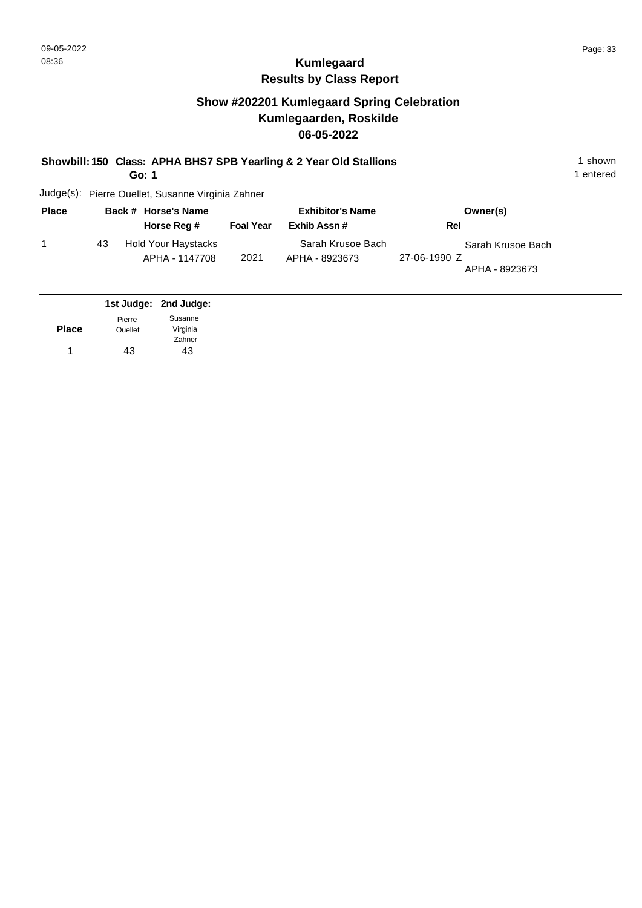## **Show #202201 Kumlegaard Spring Celebration Kumlegaarden, Roskilde 06-05-2022**

#### **Showbill: 150 Class: APHA BHS7 SPB Yearling & 2 Year Old Stallions** 1 shown 1 shown

**Go: 1**

1 entered

| <b>Place</b> |    | Back # Horse's Name                          |                  | <b>Exhibitor's Name</b>             | Owner(s)                                            |  |
|--------------|----|----------------------------------------------|------------------|-------------------------------------|-----------------------------------------------------|--|
|              |    | Horse Reg #                                  | <b>Foal Year</b> | Exhib Assn#                         | Rel                                                 |  |
|              | 43 | <b>Hold Your Haystacks</b><br>APHA - 1147708 | 2021             | Sarah Krusoe Bach<br>APHA - 8923673 | Sarah Krusoe Bach<br>27-06-1990 Z<br>APHA - 8923673 |  |

|              |                | 1st Judge: 2nd Judge: |
|--------------|----------------|-----------------------|
|              | Pierre         | Susanne               |
| <b>Place</b> | <b>Ouellet</b> | Virginia              |
|              |                | Zahner                |
| 1            | 43             | 43                    |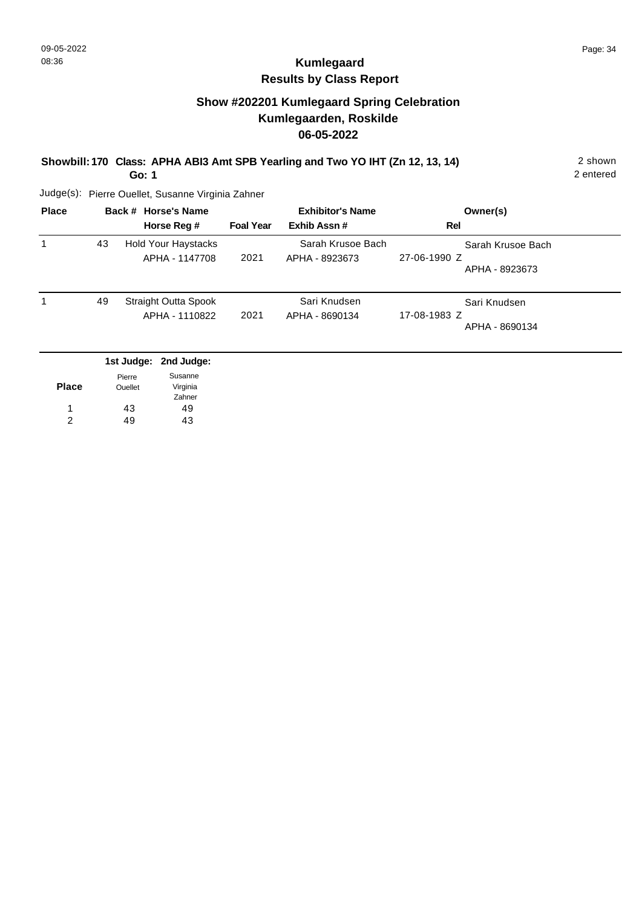# **Kumlegaard Results by Class Report**

## **Show #202201 Kumlegaard Spring Celebration Kumlegaarden, Roskilde 06-05-2022**

#### **Showbill: 170 Class: APHA ABI3 Amt SPB Yearling and Two YO IHT (Zn 12, 13, 14)** 2 shown

**Go: 1**

| <b>Place</b> | Back # Horse's Name |                                               | <b>Exhibitor's Name</b> |                                     | Owner(s)                                            |
|--------------|---------------------|-----------------------------------------------|-------------------------|-------------------------------------|-----------------------------------------------------|
|              |                     | Horse Reg #                                   | <b>Foal Year</b>        | Exhib Assn#                         | Rel                                                 |
|              | 43                  | <b>Hold Your Haystacks</b><br>APHA - 1147708  | 2021                    | Sarah Krusoe Bach<br>APHA - 8923673 | Sarah Krusoe Bach<br>27-06-1990 Z<br>APHA - 8923673 |
|              | 49                  | <b>Straight Outta Spook</b><br>APHA - 1110822 | 2021                    | Sari Knudsen<br>APHA - 8690134      | Sari Knudsen<br>17-08-1983 Z<br>APHA - 8690134      |
|              |                     | 1st Judge: 2nd Judge:                         |                         |                                     |                                                     |

|              | . <b>.</b> |          |
|--------------|------------|----------|
|              | Pierre     | Susanne  |
| <b>Place</b> | Ouellet    | Virginia |
|              |            | Zahner   |
| 1            | 43         | 49       |
| 2            | 49         | 43       |
|              |            |          |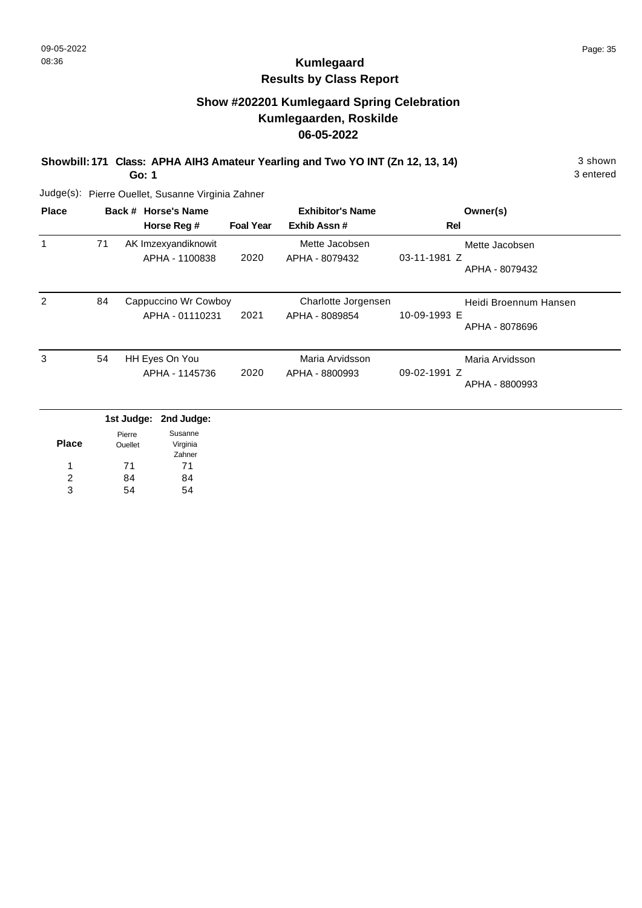# **Kumlegaard Results by Class Report**

# **Show #202201 Kumlegaard Spring Celebration Kumlegaarden, Roskilde 06-05-2022**

**Showbill: 171 Class: APHA AIH3 Amateur Yearling and Two YO INT (Zn 12, 13, 14)** 3 shown

**Go: 1**

| <b>Place</b> |    | Back # Horse's Name  |                  | <b>Exhibitor's Name</b> | Owner(s)                       |
|--------------|----|----------------------|------------------|-------------------------|--------------------------------|
|              |    | Horse Reg #          | <b>Foal Year</b> | Exhib Assn#             | Rel                            |
|              | 71 | AK Imzexyandiknowit  |                  | Mette Jacobsen          | Mette Jacobsen                 |
|              |    | APHA - 1100838       | 2020             | APHA - 8079432          | 03-11-1981 Z<br>APHA - 8079432 |
| 2            | 84 | Cappuccino Wr Cowboy |                  | Charlotte Jorgensen     | Heidi Broennum Hansen          |
|              |    | APHA - 01110231      | 2021             | APHA - 8089854          | 10-09-1993 E<br>APHA - 8078696 |
| 3            | 54 | HH Eyes On You       |                  | Maria Arvidsson         | Maria Arvidsson                |
|              |    | APHA - 1145736       | 2020             | APHA - 8800993          | 09-02-1991 Z<br>APHA - 8800993 |

|              |                          | 1st Judge: 2nd Judge: |
|--------------|--------------------------|-----------------------|
| <b>Place</b> | Pierre<br><b>Ouellet</b> | Susanne<br>Virginia   |
|              |                          | Zahner                |
| 1            | 71                       | 71                    |
| 2            | 84                       | 84                    |
| з            |                          |                       |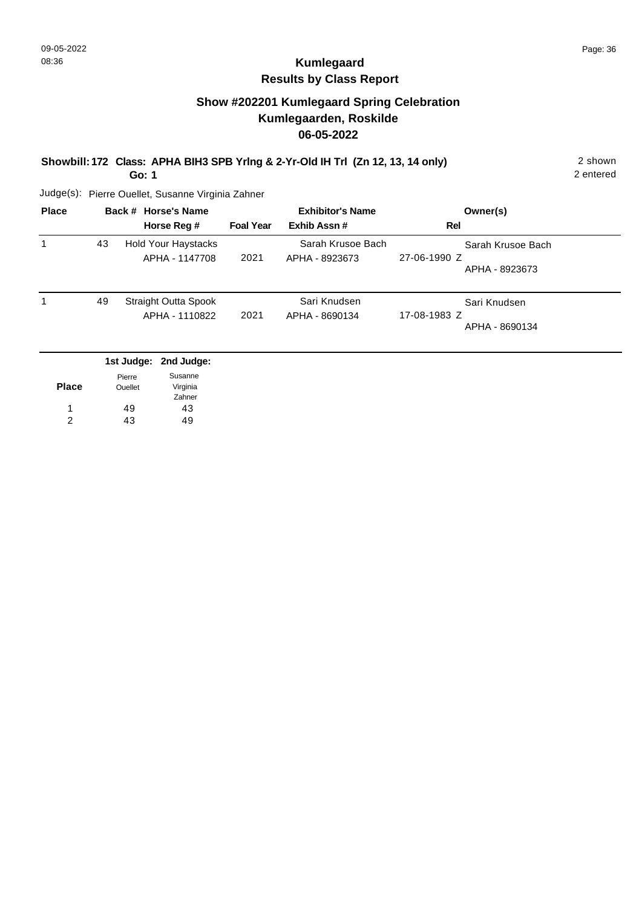# **Kumlegaard Results by Class Report**

## **Show #202201 Kumlegaard Spring Celebration Kumlegaarden, Roskilde 06-05-2022**

**Showbill: 172 Class: APHA BIH3 SPB Yrlng & 2-Yr-Old IH Trl (Zn 12, 13, 14 only)** 2 shown

**Go: 1**

| <b>Place</b> |    | Back # Horse's Name<br>Horse Reg #           | <b>Foal Year</b> | <b>Exhibitor's Name</b><br>Exhib Assn# | Owner(s)<br>Rel                                     |
|--------------|----|----------------------------------------------|------------------|----------------------------------------|-----------------------------------------------------|
|              | 43 | <b>Hold Your Haystacks</b><br>APHA - 1147708 | 2021             | Sarah Krusoe Bach<br>APHA - 8923673    | Sarah Krusoe Bach<br>27-06-1990 Z<br>APHA - 8923673 |
|              | 49 | Straight Outta Spook<br>APHA - 1110822       | 2021             | Sari Knudsen<br>APHA - 8690134         | Sari Knudsen<br>17-08-1983 Z<br>APHA - 8690134      |
|              |    | 1st Judge: 2nd Judge:                        |                  |                                        |                                                     |

| <b>Place</b> | Pierre<br><b>Ouellet</b> | Susanne<br>Virginia |
|--------------|--------------------------|---------------------|
| 1            | 49                       | Zahner<br>43        |
| 2            | 43                       | 49                  |
|              |                          |                     |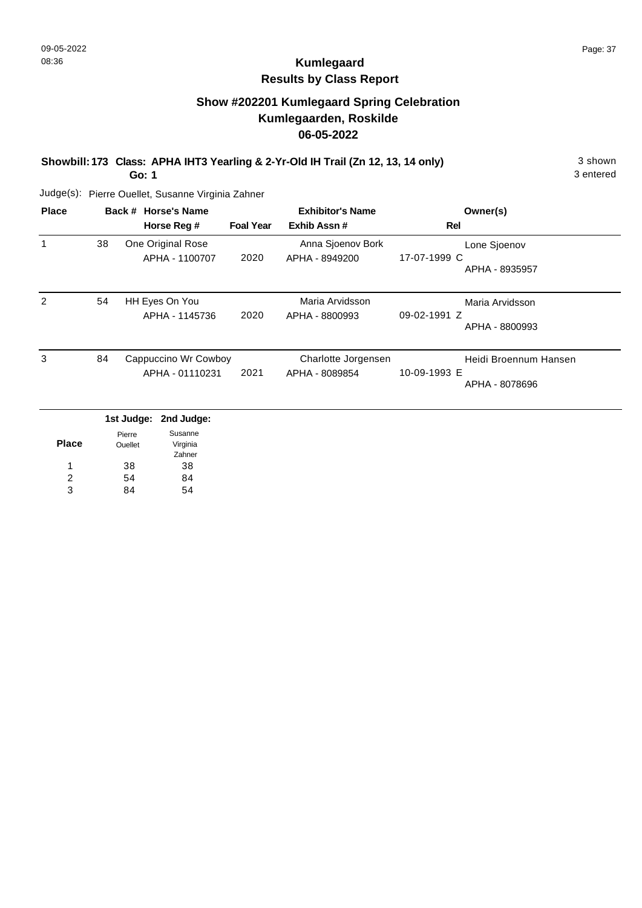# **Kumlegaard Results by Class Report**

# **Show #202201 Kumlegaard Spring Celebration Kumlegaarden, Roskilde 06-05-2022**

**Showbill: 173 Class: APHA IHT3 Yearling & 2-Yr-Old IH Trail (Zn 12, 13, 14 only)** 3 shown

**Go: 1**

| <b>Place</b> |    | Back # Horse's Name<br>Horse Reg #      | <b>Foal Year</b> | <b>Exhibitor's Name</b><br>Exhib Assn# | Owner(s)<br>Rel                                         |
|--------------|----|-----------------------------------------|------------------|----------------------------------------|---------------------------------------------------------|
| 1            | 38 | One Original Rose<br>APHA - 1100707     | 2020             | Anna Sjoenov Bork<br>APHA - 8949200    | Lone Sjoenov<br>17-07-1999 C<br>APHA - 8935957          |
| 2            | 54 | HH Eyes On You<br>APHA - 1145736        | 2020             | Maria Arvidsson<br>APHA - 8800993      | Maria Arvidsson<br>09-02-1991 Z<br>APHA - 8800993       |
| 3            | 84 | Cappuccino Wr Cowboy<br>APHA - 01110231 | 2021             | Charlotte Jorgensen<br>APHA - 8089854  | Heidi Broennum Hansen<br>10-09-1993 E<br>APHA - 8078696 |
|              |    | 1st Judge: 2nd Judge:                   |                  |                                        |                                                         |

|       | .       |          |
|-------|---------|----------|
|       | Pierre  | Susanne  |
| Place | Ouellet | Virginia |
|       |         | Zahner   |
| 1     | 38      | 38       |
| 2     | 54      | 84       |
| વ     |         |          |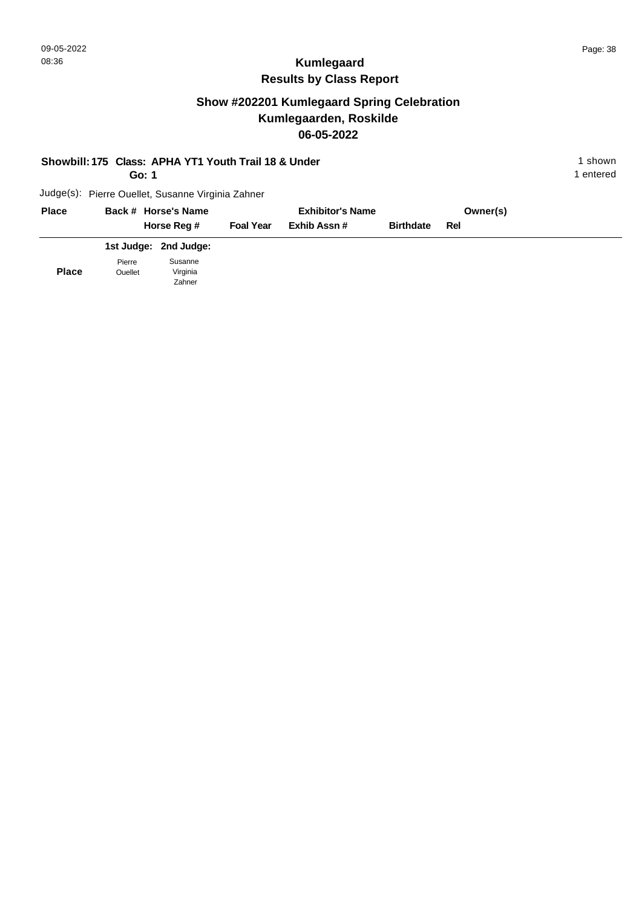# **Show #202201 Kumlegaard Spring Celebration Kumlegaarden, Roskilde 06-05-2022**

| Showbill: 175 Class: APHA YT1 Youth Trail 18 & Under<br>Go: 1 |                   |                                                   |                  |                         |                  |          | 1 shown<br>1 entered |
|---------------------------------------------------------------|-------------------|---------------------------------------------------|------------------|-------------------------|------------------|----------|----------------------|
|                                                               |                   | Judge(s): Pierre Ouellet, Susanne Virginia Zahner |                  |                         |                  |          |                      |
| <b>Place</b>                                                  |                   | Back # Horse's Name                               |                  | <b>Exhibitor's Name</b> |                  | Owner(s) |                      |
|                                                               |                   | Horse Reg #                                       | <b>Foal Year</b> | Exhib Assn#             | <b>Birthdate</b> | Rel      |                      |
|                                                               |                   | 1st Judge: 2nd Judge:                             |                  |                         |                  |          |                      |
| <b>Place</b>                                                  | Pierre<br>Ouellet | Susanne<br>Virginia<br>Zahner                     |                  |                         |                  |          |                      |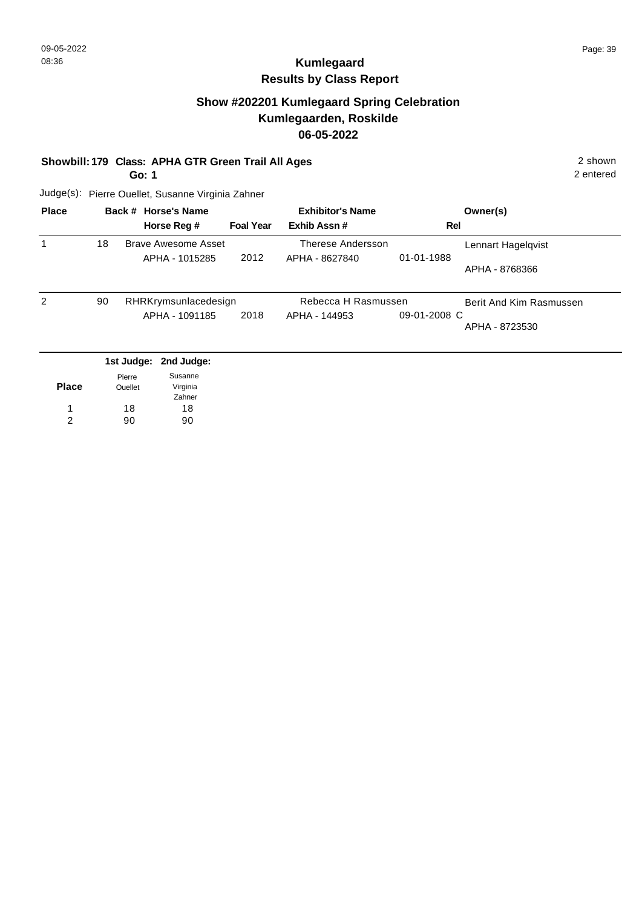#### **Show #202201 Kumlegaard Spring Celebration Kumlegaarden, Roskilde 06-05-2022**

#### **Showbill: 179 Class: APHA GTR Green Trail All Ages** 2 shown

**Go: 1**

2 entered

| <b>Place</b> |    | Back # Horse's Name  |                  | <b>Exhibitor's Name</b> |              | Owner(s)                |
|--------------|----|----------------------|------------------|-------------------------|--------------|-------------------------|
|              |    | Horse Reg #          | <b>Foal Year</b> | Exhib Assn#             | Rel          |                         |
|              | 18 | Brave Awesome Asset  |                  | Therese Andersson       |              | Lennart Hagelqvist      |
|              |    | APHA - 1015285       | 2012             | APHA - 8627840          | 01-01-1988   | APHA - 8768366          |
| 2            | 90 | RHRKrymsunlacedesign |                  | Rebecca H Rasmussen     |              | Berit And Kim Rasmussen |
|              |    | APHA - 1091185       | 2018             | APHA - 144953           | 09-01-2008 C | APHA - 8723530          |
|              |    |                      |                  |                         |              |                         |

|              |                | 1st Judge: 2nd Judge: |
|--------------|----------------|-----------------------|
|              | Pierre         | Susanne               |
| <b>Place</b> | <b>Ouellet</b> | Virginia              |
|              |                | Zahner                |
| 1            | 18             | 18                    |
| 2            | ۹٨             | 90                    |
|              |                |                       |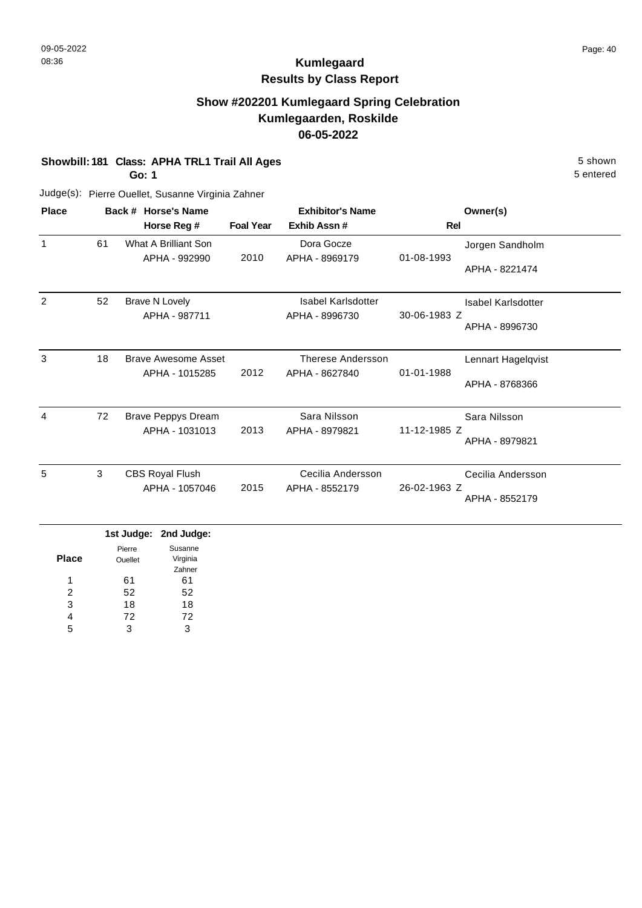# **Kumlegaard Results by Class Report**

## **Show #202201 Kumlegaard Spring Celebration Kumlegaarden, Roskilde 06-05-2022**

#### **Showbill: 181 Class: APHA TRL1 Trail All Ages** 5 Shown

**Go: 1**

| <b>Place</b>   |    | Back # Horse's Name        |                  | <b>Exhibitor's Name</b>   |              | Owner(s)           |
|----------------|----|----------------------------|------------------|---------------------------|--------------|--------------------|
|                |    | Horse Reg #                | <b>Foal Year</b> | Exhib Assn#               | Rel          |                    |
| $\mathbf{1}$   | 61 | What A Brilliant Son       |                  | Dora Gocze                |              | Jorgen Sandholm    |
|                |    | APHA - 992990              | 2010             | APHA - 8969179            | 01-08-1993   | APHA - 8221474     |
| 2              | 52 | <b>Brave N Lovely</b>      |                  | <b>Isabel Karlsdotter</b> |              | Isabel Karlsdotter |
|                |    | APHA - 987711              |                  | APHA - 8996730            | 30-06-1983 Z |                    |
|                |    |                            |                  |                           |              | APHA - 8996730     |
| 3              | 18 | Brave Awesome Asset        |                  | Therese Andersson         |              | Lennart Hagelqvist |
|                |    | APHA - 1015285             | 2012             | APHA - 8627840            | 01-01-1988   |                    |
|                |    |                            |                  |                           |              | APHA - 8768366     |
| $\overline{4}$ | 72 | <b>Brave Peppys Dream</b>  |                  | Sara Nilsson              |              | Sara Nilsson       |
|                |    | APHA - 1031013             | 2013             | APHA - 8979821            | 11-12-1985 Z |                    |
|                |    |                            |                  |                           |              | APHA - 8979821     |
| 5              | 3  | <b>CBS Royal Flush</b>     |                  | Cecilia Andersson         |              | Cecilia Andersson  |
|                |    | APHA - 1057046             | 2015             | APHA - 8552179            | 26-02-1963 Z |                    |
|                |    |                            |                  |                           |              | APHA - 8552179     |
|                |    | بمعامينا اممث بمعامينا فمة |                  |                           |              |                    |

|              |         | 1st Judge: 2nd Judge: |
|--------------|---------|-----------------------|
|              | Pierre  | Susanne               |
| <b>Place</b> | Ouellet | Virginia              |
|              |         | Zahner                |
| 1            | 61      | 61                    |
| 2            | 52      | 52                    |
| 3            | 18      | 18                    |
| 4            | 72      | 72                    |
| 5            | 3       | з                     |
|              |         |                       |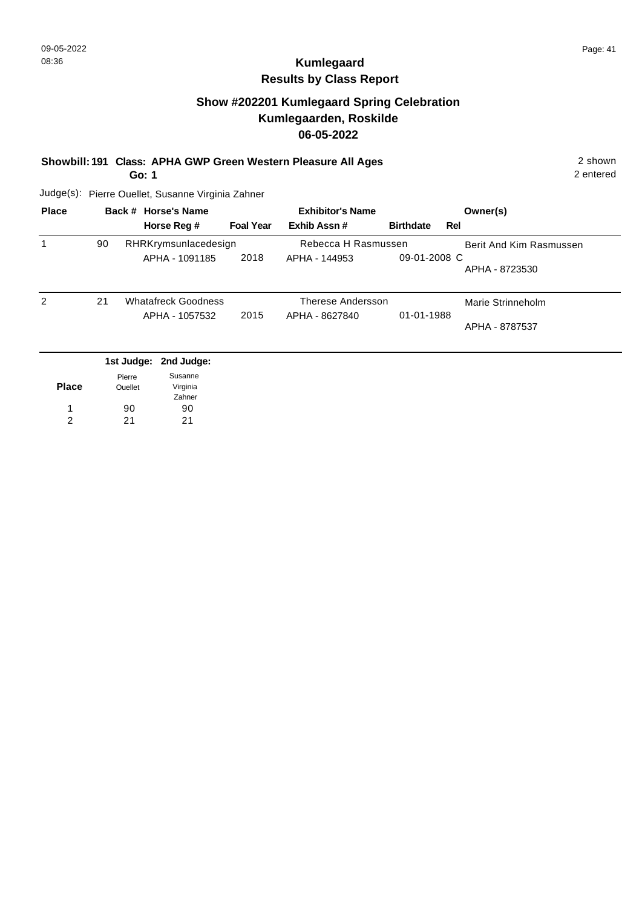#### **Show #202201 Kumlegaard Spring Celebration Kumlegaarden, Roskilde 06-05-2022**

#### **Showbill: 191 Class: APHA GWP Green Western Pleasure All Ages** 2 shown

**Go: 1**

2 entered

| <b>Place</b> | Back # Horse's Name |                                        |                  | <b>Exhibitor's Name</b>              | Owner(s)         |                         |
|--------------|---------------------|----------------------------------------|------------------|--------------------------------------|------------------|-------------------------|
|              |                     | Horse Reg #                            | <b>Foal Year</b> | Exhib Assn#                          | <b>Birthdate</b> | Rel                     |
|              | 90                  | RHRKrymsunlacedesign<br>APHA - 1091185 | 2018             | Rebecca H Rasmussen<br>APHA - 144953 | 09-01-2008 C     | Berit And Kim Rasmussen |
|              |                     |                                        |                  |                                      |                  | APHA - 8723530          |
| 2            | 21                  | <b>Whatafreck Goodness</b>             |                  | Therese Andersson                    |                  | Marie Strinneholm       |
|              |                     | APHA - 1057532                         | 2015             | APHA - 8627840                       | 01-01-1988       | APHA - 8787537          |
|              |                     |                                        |                  |                                      |                  |                         |
|              |                     | 1st Judge: 2nd Judge:                  |                  |                                      |                  |                         |

|              | Pierre  | Susanne  |
|--------------|---------|----------|
| <b>Place</b> | Ouellet | Virginia |
|              |         | Zahner   |
|              | 90      | 90       |
| 2            | 21      | 21       |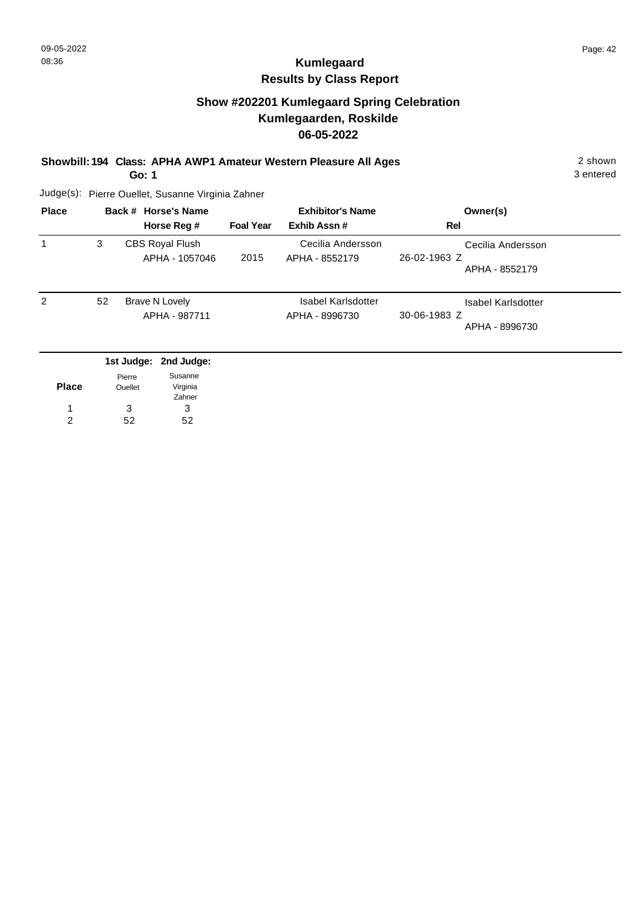## **Show #202201 Kumlegaard Spring Celebration Kumlegaarden, Roskilde 06-05-2022**

#### **Showbill: 194 Class: APHA AWP1 Amateur Western Pleasure All Ages** 2 shown

**Go: 1**

3 entered

| <b>Place</b> |    | Back # Horse's Name<br>Horse Reg #       | <b>Foal Year</b> | <b>Exhibitor's Name</b><br>Exhib Assn#      | Owner(s)<br>Rel                                      |
|--------------|----|------------------------------------------|------------------|---------------------------------------------|------------------------------------------------------|
|              | 3  | <b>CBS Royal Flush</b><br>APHA - 1057046 | 2015             | Cecilia Andersson<br>APHA - 8552179         | Cecilia Andersson<br>26-02-1963 Z<br>APHA - 8552179  |
| 2            | 52 | Brave N Lovely<br>APHA - 987711          |                  | <b>Isabel Karlsdotter</b><br>APHA - 8996730 | Isabel Karlsdotter<br>30-06-1983 Z<br>APHA - 8996730 |
|              |    | 1st Judge: 2nd Judge:                    |                  |                                             |                                                      |

| <b>Place</b> | Pierre<br>Ouellet | Susanne<br>Virginia<br>Zahner |
|--------------|-------------------|-------------------------------|
| 1            | 3                 | з                             |
| 2            | 52                | ドク                            |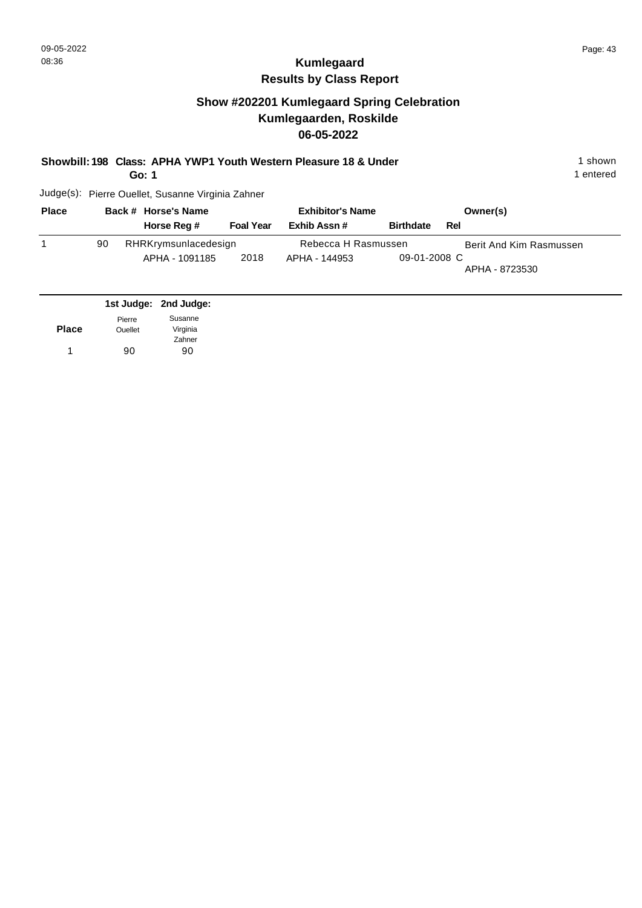## **Show #202201 Kumlegaard Spring Celebration Kumlegaarden, Roskilde 06-05-2022**

**Go: 1**

1 entered

| <b>Place</b> |    | Back # Horse's Name  |                  | <b>Exhibitor's Name</b> |                  |     | Owner(s)                |
|--------------|----|----------------------|------------------|-------------------------|------------------|-----|-------------------------|
|              |    | Horse Reg #          | <b>Foal Year</b> | Exhib Assn#             | <b>Birthdate</b> | Rel |                         |
|              | 90 | RHRKrymsunlacedesign |                  | Rebecca H Rasmussen     |                  |     | Berit And Kim Rasmussen |
|              |    | APHA - 1091185       | 2018             | APHA - 144953           | 09-01-2008 C     |     | APHA - 8723530          |

|              |                | 1st Judge: 2nd Judge: |
|--------------|----------------|-----------------------|
|              | Pierre         | Susanne               |
| <b>Place</b> | <b>Ouellet</b> | Virginia              |
|              |                | Zahner                |
| 1            | 90             | 90                    |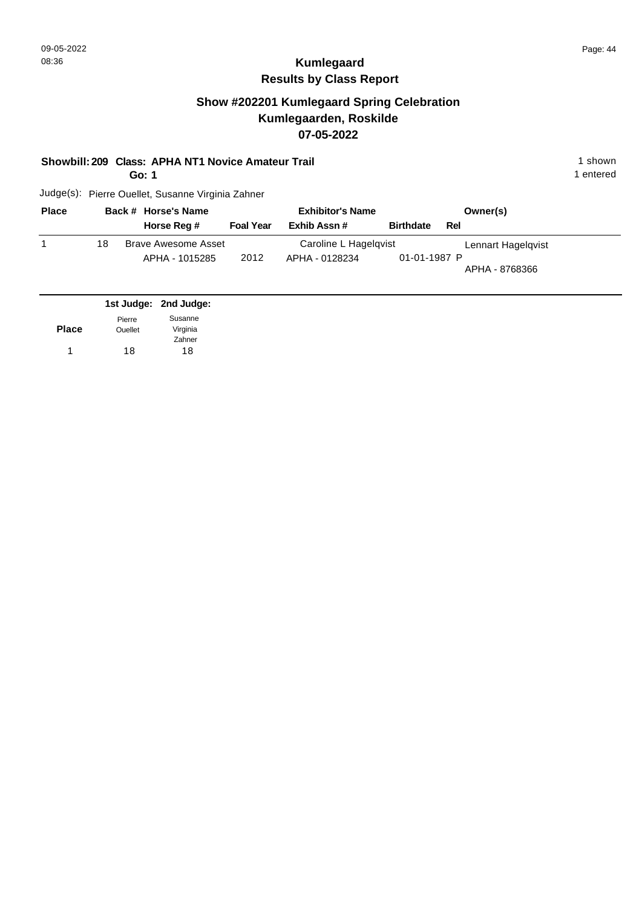## **Show #202201 Kumlegaard Spring Celebration Kumlegaarden, Roskilde 07-05-2022**

**Showbill: 209 Class: APHA NT1 Novice Amateur Trail 1 Shown 2008 1 shown 1 shown** 

**Go: 1**

1 entered

| <b>Place</b> |    | Back # Horse's Name   |                  | <b>Exhibitor's Name</b> |                  | Owner(s)           |  |
|--------------|----|-----------------------|------------------|-------------------------|------------------|--------------------|--|
|              |    | Horse Reg #           | <b>Foal Year</b> | Exhib Assn#             | <b>Birthdate</b> | Rel                |  |
|              | 18 | Brave Awesome Asset   |                  | Caroline L Hagelqvist   |                  | Lennart Hagelgvist |  |
|              |    | APHA - 1015285        | 2012             | APHA - 0128234          | 01-01-1987 P     | APHA - 8768366     |  |
|              |    | 1st Judge: 2nd Judge: |                  |                         |                  |                    |  |

|              |         | $13000090.$ and $00090.$ |
|--------------|---------|--------------------------|
|              | Pierre  | Susanne                  |
| <b>Place</b> | Ouellet | Virginia                 |
|              |         | Zahner                   |
| 1            | 18      | 18                       |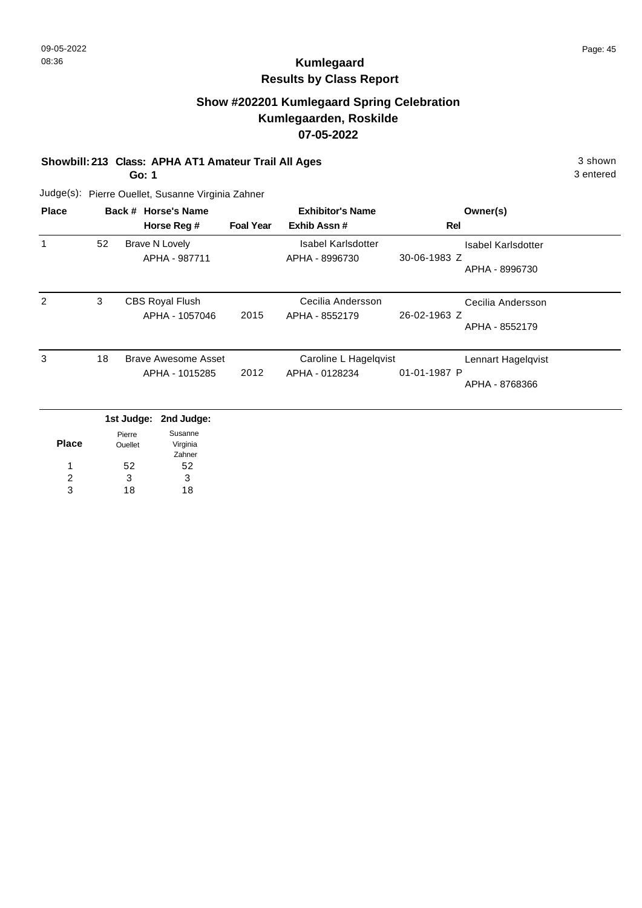## **Show #202201 Kumlegaard Spring Celebration Kumlegaarden, Roskilde 07-05-2022**

**Showbill: 213 Class: APHA AT1 Amateur Trail All Ages** 3 shown

**Go: 1**

3 entered

| <b>Place</b>  |    | Back # Horse's Name<br>Horse Reg #       | <b>Foal Year</b> | <b>Exhibitor's Name</b><br>Exhib Assn#      | Owner(s)<br>Rel                                             |
|---------------|----|------------------------------------------|------------------|---------------------------------------------|-------------------------------------------------------------|
|               | 52 | <b>Brave N Lovely</b><br>APHA - 987711   |                  | <b>Isabel Karlsdotter</b><br>APHA - 8996730 | <b>Isabel Karlsdotter</b><br>30-06-1983 Z<br>APHA - 8996730 |
| $\mathcal{P}$ | 3  | <b>CBS Royal Flush</b><br>APHA - 1057046 | 2015             | Cecilia Andersson<br>APHA - 8552179         | Cecilia Andersson<br>26-02-1963 Z<br>APHA - 8552179         |
| 3             | 18 | Brave Awesome Asset<br>APHA - 1015285    | 2012             | Caroline L Hagelqvist<br>APHA - 0128234     | Lennart Hagelqvist<br>01-01-1987 P<br>APHA - 8768366        |
|               |    | 1st Judge: 2nd Judge:                    |                  |                                             |                                                             |

|              | . <u>.</u> | . <u>.</u> |
|--------------|------------|------------|
|              | Pierre     | Susanne    |
| <b>Place</b> | Ouellet    | Virginia   |
|              |            | Zahner     |
|              | 52         | 52         |
| 2            | 3          | 3          |
| 3            | 18         | 18         |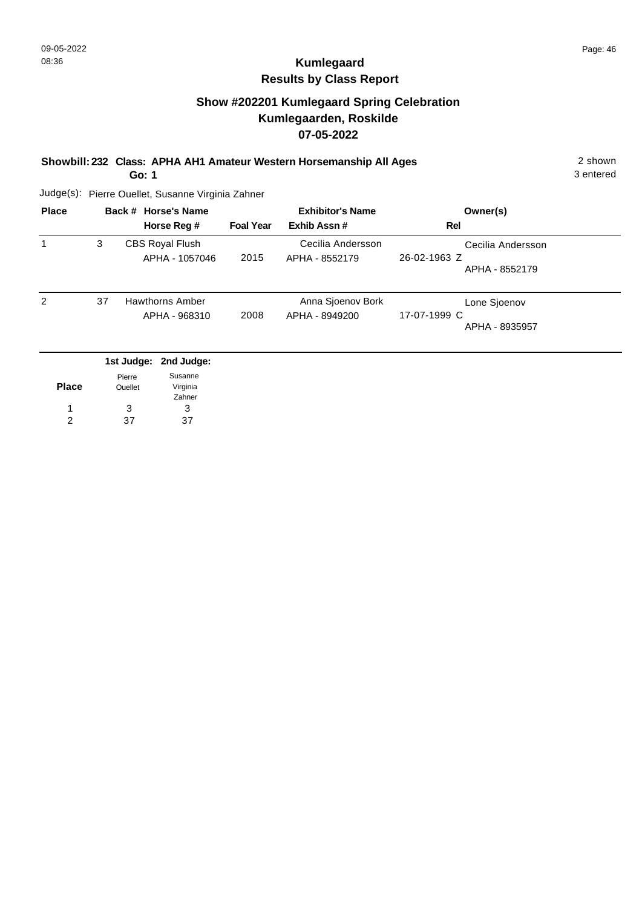# **Kumlegaard Results by Class Report**

## **Show #202201 Kumlegaard Spring Celebration Kumlegaarden, Roskilde 07-05-2022**

#### **Showbill: 232 Class: APHA AH1 Amateur Western Horsemanship All Ages** 2 shown

**Go: 1**

| <b>Place</b> |    | Back # Horse's Name                           |                  | <b>Exhibitor's Name</b>             | Owner(s)                                            |
|--------------|----|-----------------------------------------------|------------------|-------------------------------------|-----------------------------------------------------|
|              |    | Horse Reg #                                   | <b>Foal Year</b> | Exhib Assn#                         | Rel                                                 |
|              | 3  | <b>CBS Royal Flush</b><br>APHA - 1057046      | 2015             | Cecilia Andersson<br>APHA - 8552179 | Cecilia Andersson<br>26-02-1963 Z<br>APHA - 8552179 |
| 2            | 37 | <b>Hawthorns Amber</b><br>APHA - 968310       | 2008             | Anna Sjoenov Bork<br>APHA - 8949200 | Lone Sjoenov<br>17-07-1999 C<br>APHA - 8935957      |
|              |    | 1st Judge: 2nd Judge:<br>$\sim$ $\sim$ $\sim$ |                  |                                     |                                                     |

|              | Pierre  | Susanne  |
|--------------|---------|----------|
| <b>Place</b> | Ouellet | Virginia |
|              |         | Zahner   |
| 1            | 3       | З        |
| 2            | 37      | 37       |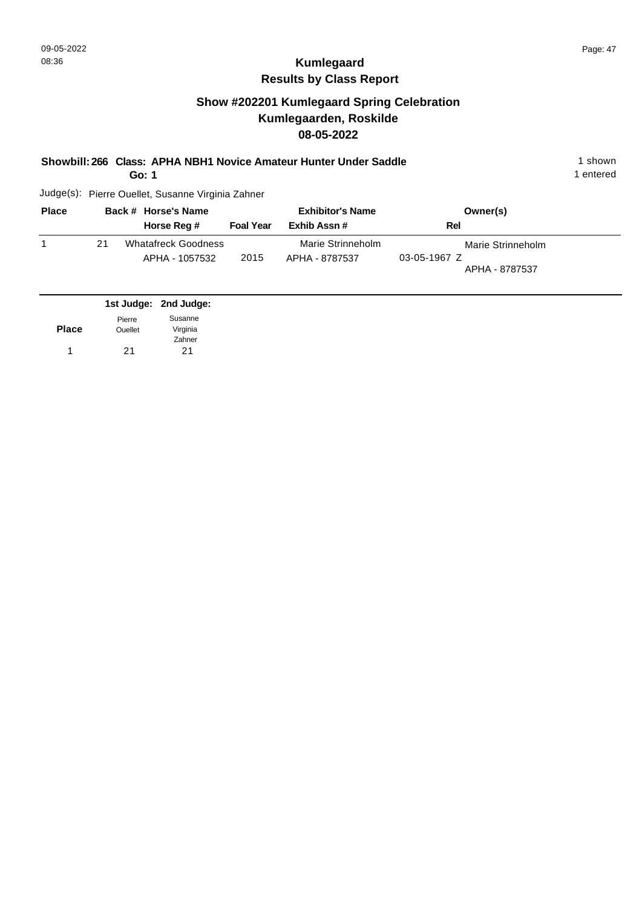## **Show #202201 Kumlegaard Spring Celebration Kumlegaarden, Roskilde 08-05-2022**

#### **Showbill: 266 Class: APHA NBH1 Novice Amateur Hunter Under Saddle** 1 shown

**Go: 1**

1 entered

| <b>Place</b> |    | Back # Horse's Name                          |                  | <b>Exhibitor's Name</b>             | Owner(s)                                              |  |
|--------------|----|----------------------------------------------|------------------|-------------------------------------|-------------------------------------------------------|--|
|              |    | Horse Reg #                                  | <b>Foal Year</b> | Exhib Assn #                        | Rel                                                   |  |
|              | 21 | <b>Whatafreck Goodness</b><br>APHA - 1057532 | 2015             | Marie Strinneholm<br>APHA - 8787537 | Marie Strinneholm<br>$03-05-1967$ Z<br>APHA - 8787537 |  |

|              |                | 1st Judge: 2nd Judge: |
|--------------|----------------|-----------------------|
|              | Pierre         | Susanne               |
| <b>Place</b> | <b>Ouellet</b> | Virginia              |
|              |                | Zahner                |
|              | 21             | 21                    |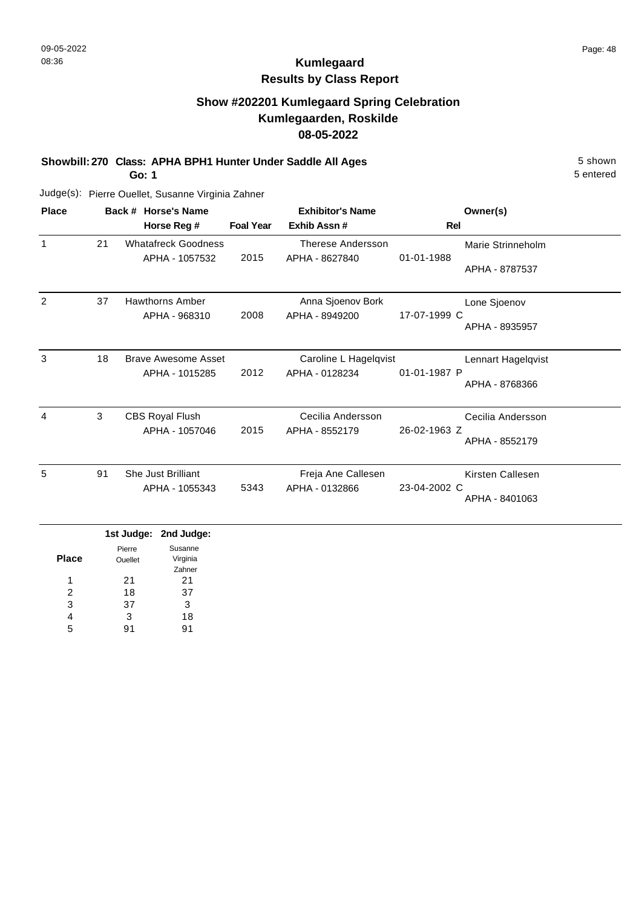## **Show #202201 Kumlegaard Spring Celebration Kumlegaarden, Roskilde 08-05-2022**

**Showbill: 270 Class: APHA BPH1 Hunter Under Saddle All Ages** 5 shown

**Go: 1**

5 entered

| <b>Place</b>   |    | Back # Horse's Name        |                  | <b>Exhibitor's Name</b> | Owner(s)                     |
|----------------|----|----------------------------|------------------|-------------------------|------------------------------|
|                |    | Horse Reg #                | <b>Foal Year</b> | Exhib Assn #            | Rel                          |
| $\mathbf 1$    | 21 | <b>Whatafreck Goodness</b> |                  | Therese Andersson       | Marie Strinneholm            |
|                |    | APHA - 1057532             | 2015             | APHA - 8627840          | 01-01-1988<br>APHA - 8787537 |
| 2              | 37 | <b>Hawthorns Amber</b>     |                  | Anna Sjoenov Bork       | Lone Sjoenov                 |
|                |    | APHA - 968310              | 2008             | APHA - 8949200          | 17-07-1999 C                 |
|                |    |                            |                  |                         | APHA - 8935957               |
| 3              | 18 | <b>Brave Awesome Asset</b> |                  | Caroline L Hagelqvist   | Lennart Hagelqvist           |
|                |    | APHA - 1015285             | 2012             | APHA - 0128234          | 01-01-1987 P                 |
|                |    |                            |                  |                         | APHA - 8768366               |
| $\overline{4}$ | 3  | <b>CBS Royal Flush</b>     |                  | Cecilia Andersson       | Cecilia Andersson            |
|                |    | APHA - 1057046             | 2015             | APHA - 8552179          | 26-02-1963 Z                 |
|                |    |                            |                  |                         | APHA - 8552179               |
| 5              | 91 | <b>She Just Brilliant</b>  |                  | Freja Ane Callesen      | Kirsten Callesen             |
|                |    | APHA - 1055343             | 5343             | APHA - 0132866          | 23-04-2002 C                 |
|                |    |                            |                  |                         | APHA - 8401063               |
|                |    | det budger - Oned budger   |                  |                         |                              |

|       |                | 1st Judge: 2nd Judge: |
|-------|----------------|-----------------------|
|       | Pierre         | Susanne               |
| Place | <b>Ouellet</b> | Virginia              |
|       |                | Zahner                |
| 1     | 21             | 21                    |
| 2     | 18             | 37                    |
| 3     | 37             | 3                     |
| 4     | 3              | 18                    |
| 5     |                | 91                    |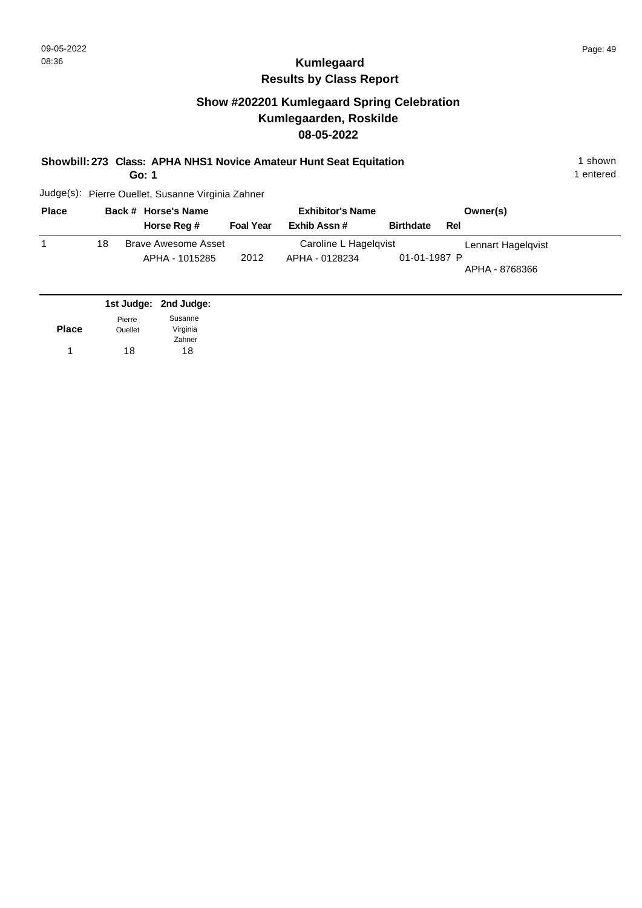## **Show #202201 Kumlegaard Spring Celebration Kumlegaarden, Roskilde 08-05-2022**

**Showbill: 273 Class: APHA NHS1 Novice Amateur Hunt Seat Equitation** 1 shown 1 shown

**Go: 1**

1 entered

| <b>Place</b> |    | Back # Horse's Name        |                  | <b>Exhibitor's Name</b> |                  | Owner(s)           |  |
|--------------|----|----------------------------|------------------|-------------------------|------------------|--------------------|--|
|              |    | Horse Reg #                | <b>Foal Year</b> | Exhib Assn #            | <b>Birthdate</b> | Rel                |  |
|              | 18 | <b>Brave Awesome Asset</b> |                  | Caroline L Hagelqvist   |                  | Lennart Hagelqvist |  |
|              |    | APHA - 1015285             | 2012             | APHA - 0128234          | 01-01-1987 P     | APHA - 8768366     |  |
|              |    | .                          |                  |                         |                  |                    |  |

|              |                | 1st Judge: 2nd Judge: |
|--------------|----------------|-----------------------|
|              | Pierre         | Susanne               |
| <b>Place</b> | <b>Ouellet</b> | Virginia              |
|              |                | Zahner                |
| 1            | 18             | 18                    |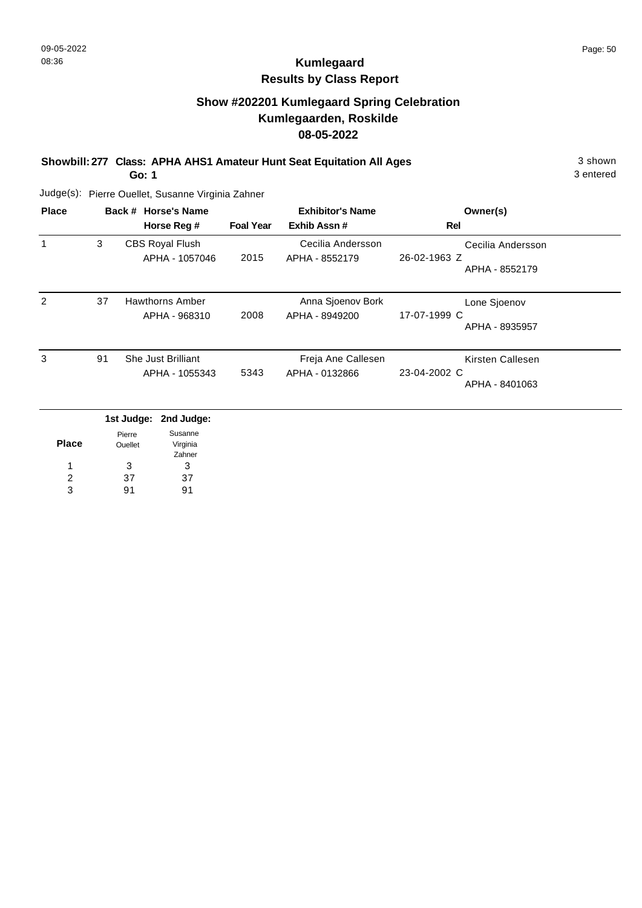# **Kumlegaard Results by Class Report**

## **Show #202201 Kumlegaard Spring Celebration Kumlegaarden, Roskilde 08-05-2022**

**Showbill: 277 Class: APHA AHS1 Amateur Hunt Seat Equitation All Ages** 3 shown

**Go: 1**

| <b>Place</b>  |    | Back # Horse's Name                      |                  | <b>Exhibitor's Name</b>              | Owner(s)                                            |
|---------------|----|------------------------------------------|------------------|--------------------------------------|-----------------------------------------------------|
|               |    | Horse Reg #                              | <b>Foal Year</b> | Exhib Assn#                          | Rel                                                 |
| 1             | 3  | <b>CBS Royal Flush</b><br>APHA - 1057046 | 2015             | Cecilia Andersson<br>APHA - 8552179  | Cecilia Andersson<br>26-02-1963 Z<br>APHA - 8552179 |
| $\mathcal{P}$ | 37 | Hawthorns Amber<br>APHA - 968310         | 2008             | Anna Sjoenov Bork<br>APHA - 8949200  | Lone Sjoenov<br>17-07-1999 C<br>APHA - 8935957      |
| 3             | 91 | She Just Brilliant<br>APHA - 1055343     | 5343             | Freja Ane Callesen<br>APHA - 0132866 | Kirsten Callesen<br>23-04-2002 C<br>APHA - 8401063  |
|               |    | 1st Judge:<br>2nd Judge:                 |                  |                                      |                                                     |

|              |         | ist oudge. Life oudge: |
|--------------|---------|------------------------|
|              | Pierre  | Susanne                |
| <b>Place</b> | Ouellet | Virginia               |
|              |         | Zahner                 |
| 1            | 3       | 3                      |
| 2            | 37      | 37                     |
| з            | ۹1      | Q1                     |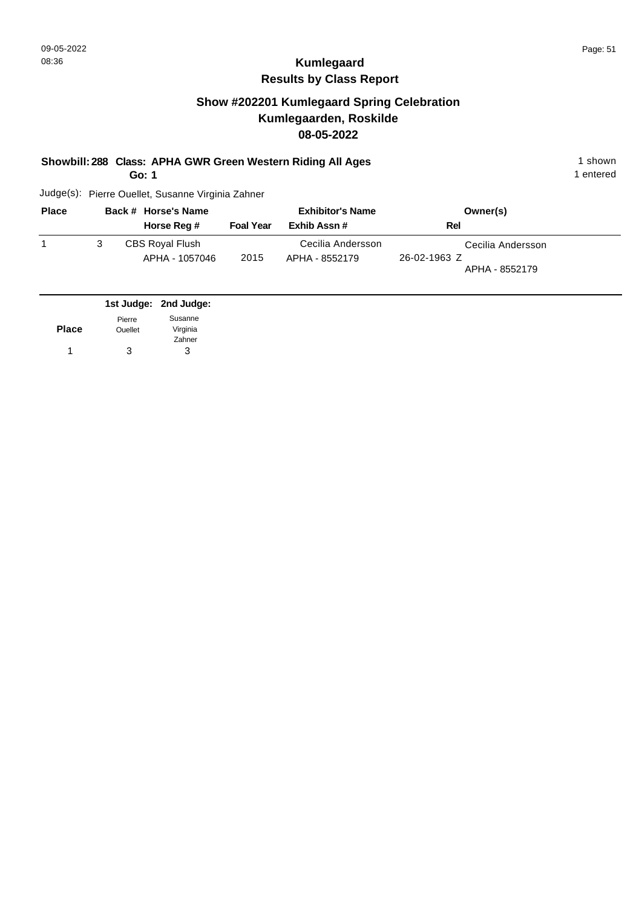## **Show #202201 Kumlegaard Spring Celebration Kumlegaarden, Roskilde 08-05-2022**

#### **Showbill: 288 Class: APHA GWR Green Western Riding All Ages** 1 shown

**Go: 1**

1 entered

| <b>Place</b> | Back # Horse's Name                      |                  | <b>Exhibitor's Name</b>             | Owner(s)                                            |  |
|--------------|------------------------------------------|------------------|-------------------------------------|-----------------------------------------------------|--|
|              | Horse Reg #                              | <b>Foal Year</b> | Exhib Assn#                         | Rel                                                 |  |
|              | <b>CBS Royal Flush</b><br>APHA - 1057046 | 2015             | Cecilia Andersson<br>APHA - 8552179 | Cecilia Andersson<br>26-02-1963 Z<br>APHA - 8552179 |  |

|              |                | 1st Judge: 2nd Judge: |
|--------------|----------------|-----------------------|
|              | Pierre         | Susanne               |
| <b>Place</b> | <b>Ouellet</b> | Virginia              |
|              |                | Zahner                |
|              | 3              | з                     |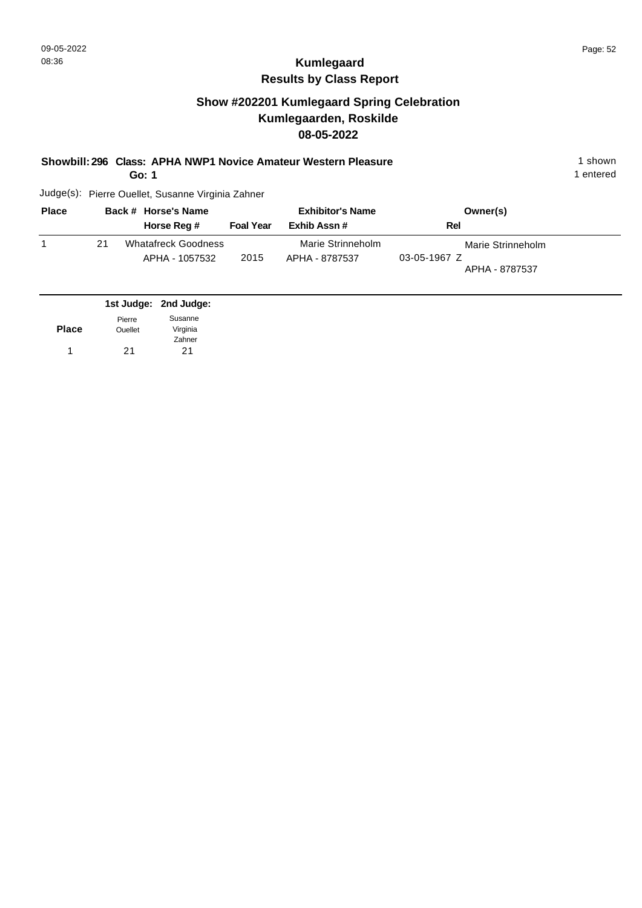# **Kumlegaard Results by Class Report**

## **Show #202201 Kumlegaard Spring Celebration Kumlegaarden, Roskilde 08-05-2022**

**Showbill: 296 Class: APHA NWP1 Novice Amateur Western Pleasure** 1 shown

**Go: 1**

| <b>Place</b> |    | Back # Horse's Name                          | <b>Exhibitor's Name</b> |                                     | Owner(s)                                            |  |
|--------------|----|----------------------------------------------|-------------------------|-------------------------------------|-----------------------------------------------------|--|
|              |    | Horse Reg #                                  | <b>Foal Year</b>        | Exhib Assn#                         | Rel                                                 |  |
|              | 21 | <b>Whatafreck Goodness</b><br>APHA - 1057532 | 2015                    | Marie Strinneholm<br>APHA - 8787537 | Marie Strinneholm<br>03-05-1967 Z<br>APHA - 8787537 |  |

|              |                | 1st Judge: 2nd Judge: |
|--------------|----------------|-----------------------|
|              | Pierre         | Susanne               |
| <b>Place</b> | <b>Ouellet</b> | Virginia              |
|              |                | Zahner                |
| 1            | 21             | 21                    |